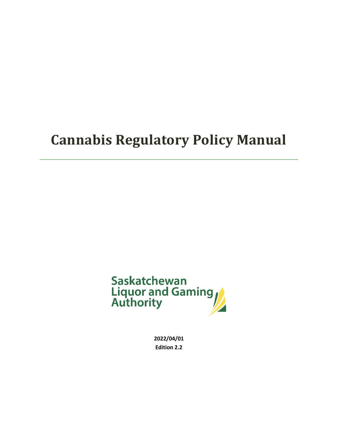

**2022/04/01 Edition 2.2**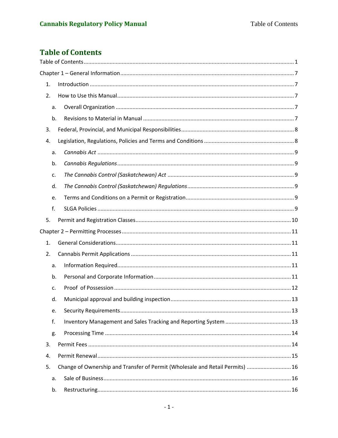# <span id="page-1-0"></span>**Table of Contents**

| 1. |    |                                                                               |
|----|----|-------------------------------------------------------------------------------|
| 2. |    |                                                                               |
|    | a. |                                                                               |
|    | b. |                                                                               |
| 3. |    |                                                                               |
| 4. |    |                                                                               |
|    | a. |                                                                               |
|    | b. |                                                                               |
|    | c. |                                                                               |
|    | d. |                                                                               |
|    | e. |                                                                               |
|    | f. |                                                                               |
| 5. |    |                                                                               |
|    |    |                                                                               |
| 1. |    |                                                                               |
| 2. |    |                                                                               |
|    | a. |                                                                               |
|    | b. |                                                                               |
|    | c. |                                                                               |
|    | d. |                                                                               |
|    | e. |                                                                               |
|    | f. |                                                                               |
|    | g. |                                                                               |
| 3. |    |                                                                               |
| 4. |    |                                                                               |
| 5. |    | Change of Ownership and Transfer of Permit (Wholesale and Retail Permits)  16 |
|    | a. |                                                                               |
|    | b. |                                                                               |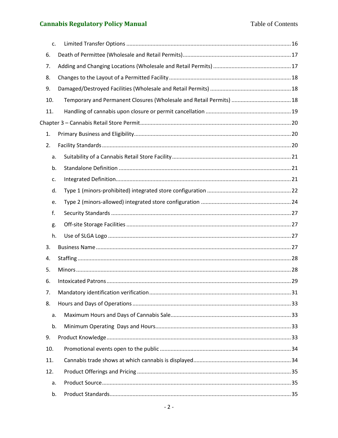|     | c. |  |
|-----|----|--|
| 6.  |    |  |
| 7.  |    |  |
| 8.  |    |  |
| 9.  |    |  |
| 10. |    |  |
| 11. |    |  |
|     |    |  |
| 1.  |    |  |
| 2.  |    |  |
|     | a. |  |
|     | b. |  |
|     | c. |  |
|     | d. |  |
|     | e. |  |
|     | f. |  |
|     | g. |  |
|     | h. |  |
| 3.  |    |  |
| 4.  |    |  |
| 5.  |    |  |
| 6.  |    |  |
| 7.  |    |  |
| 8.  |    |  |
|     | a. |  |
|     | b. |  |
| 9.  |    |  |
| 10. |    |  |
| 11. |    |  |
| 12. |    |  |
|     | a. |  |
|     | b. |  |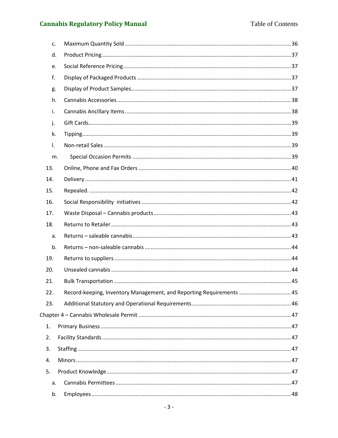| C <sub>1</sub> |                                                                      |  |
|----------------|----------------------------------------------------------------------|--|
| d.             |                                                                      |  |
| e.             |                                                                      |  |
| f.             |                                                                      |  |
| g.             |                                                                      |  |
| h.             |                                                                      |  |
| i.             |                                                                      |  |
| j.             |                                                                      |  |
| k.             |                                                                      |  |
| $\mathsf{L}$   |                                                                      |  |
| m.             |                                                                      |  |
| 13.            |                                                                      |  |
| 14.            |                                                                      |  |
| 15.            |                                                                      |  |
| 16.            |                                                                      |  |
| 17.            |                                                                      |  |
| 18.            |                                                                      |  |
| a.             |                                                                      |  |
| b.             |                                                                      |  |
| 19.            |                                                                      |  |
| 20.            |                                                                      |  |
| 21.            |                                                                      |  |
| 22.            | Record-keeping, Inventory Management, and Reporting Requirements  45 |  |
| 23.            |                                                                      |  |
|                |                                                                      |  |
| 1.             |                                                                      |  |
| 2.             |                                                                      |  |
| 3.             |                                                                      |  |
| 4.             |                                                                      |  |
| 5.             |                                                                      |  |
| a.             |                                                                      |  |
| b.             |                                                                      |  |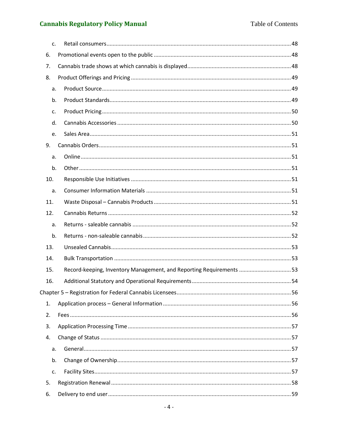| C <sub>1</sub> |                                                                     |
|----------------|---------------------------------------------------------------------|
| 6.             |                                                                     |
| 7.             |                                                                     |
| 8.             |                                                                     |
| a.             |                                                                     |
| b.             |                                                                     |
| c.             |                                                                     |
| d.             |                                                                     |
| e.             |                                                                     |
| 9.             |                                                                     |
| a.             |                                                                     |
| b.             |                                                                     |
| 10.            |                                                                     |
| a.             |                                                                     |
| 11.            |                                                                     |
| 12.            |                                                                     |
| a.             |                                                                     |
| b.             |                                                                     |
| 13.            |                                                                     |
| 14.            |                                                                     |
| 15.            | Record-keeping, Inventory Management, and Reporting Requirements 53 |
| 16.            |                                                                     |
|                |                                                                     |
| 1.             |                                                                     |
| 2.             |                                                                     |
| 3.             |                                                                     |
| 4.             |                                                                     |
| a.             |                                                                     |
| b.             |                                                                     |
| c.             |                                                                     |
| 5.             |                                                                     |
| 6.             |                                                                     |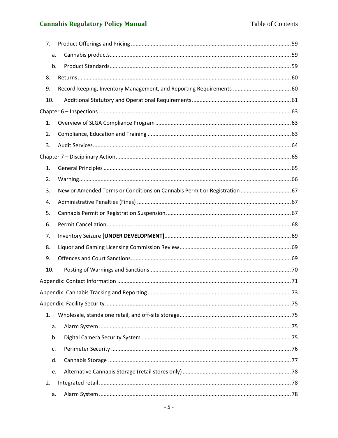| 7.  |                                                                           |  |
|-----|---------------------------------------------------------------------------|--|
| a.  |                                                                           |  |
| b.  |                                                                           |  |
| 8.  |                                                                           |  |
| 9.  | Record-keeping, Inventory Management, and Reporting Requirements  60      |  |
| 10. |                                                                           |  |
|     |                                                                           |  |
| 1.  |                                                                           |  |
| 2.  |                                                                           |  |
| 3.  |                                                                           |  |
|     |                                                                           |  |
| 1.  |                                                                           |  |
| 2.  |                                                                           |  |
| 3.  | New or Amended Terms or Conditions on Cannabis Permit or Registration  67 |  |
| 4.  |                                                                           |  |
| 5.  |                                                                           |  |
| 6.  |                                                                           |  |
| 7.  |                                                                           |  |
| 8.  |                                                                           |  |
| 9.  |                                                                           |  |
| 10. |                                                                           |  |
|     |                                                                           |  |
|     |                                                                           |  |
|     |                                                                           |  |
| 1.  |                                                                           |  |
| a.  |                                                                           |  |
| b.  |                                                                           |  |
| c.  |                                                                           |  |
| d.  |                                                                           |  |
| e.  |                                                                           |  |
| 2.  |                                                                           |  |
| a.  |                                                                           |  |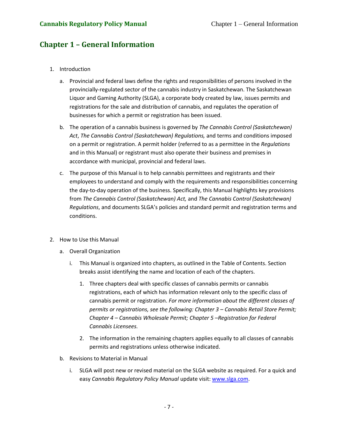# <span id="page-7-0"></span>**Chapter 1 – General Information**

- <span id="page-7-1"></span>1. Introduction
	- a. Provincial and federal laws define the rights and responsibilities of persons involved in the provincially-regulated sector of the cannabis industry in Saskatchewan. The Saskatchewan Liquor and Gaming Authority (SLGA), a corporate body created by law, issues permits and registrations for the sale and distribution of cannabis, and regulates the operation of businesses for which a permit or registration has been issued.
	- b. The operation of a cannabis business is governed by *The Cannabis Control (Saskatchewan) Act*, *The Cannabis Control (Saskatchewan) Regulations,* and terms and conditions imposed on a permit or registration. A permit holder (referred to as a permittee in the *Regulations* and in this Manual) or registrant must also operate their business and premises in accordance with municipal, provincial and federal laws.
	- c. The purpose of this Manual is to help cannabis permittees and registrants and their employees to understand and comply with the requirements and responsibilities concerning the day-to-day operation of the business. Specifically, this Manual highlights key provisions from *The Cannabis Control (Saskatchewan) Act,* and *The Cannabis Control (Saskatchewan) Regulations*, and documents SLGA's policies and standard permit and registration terms and conditions.
- <span id="page-7-4"></span><span id="page-7-3"></span><span id="page-7-2"></span>2. How to Use this Manual
	- a. Overall Organization
		- i. This Manual is organized into chapters, as outlined in the Table of Contents. Section breaks assist identifying the name and location of each of the chapters.
			- 1. Three chapters deal with specific classes of cannabis permits or cannabis registrations, each of which has information relevant only to the specific class of cannabis permit or registration. *For more information about the different classes of permits or registrations, see the following: Chapter 3 – Cannabis Retail Store Permit; Chapter 4 – Cannabis Wholesale Permit; Chapter 5 –Registration for Federal Cannabis Licensees.*
			- 2. The information in the remaining chapters applies equally to all classes of cannabis permits and registrations unless otherwise indicated.
	- b. Revisions to Material in Manual
		- i. SLGA will post new or revised material on the SLGA website as required. For a quick and easy *Cannabis Regulatory Policy Manual* update visit: [www.slga.com.](http://www.slga.com/)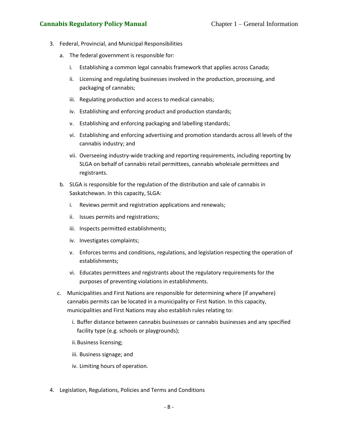### **Cannabis Regulatory Policy Manual** Chapter 1 – General Information

- <span id="page-8-0"></span>3. Federal, Provincial, and Municipal Responsibilities
	- a. The federal government is responsible for:
		- i. Establishing a common legal cannabis framework that applies across Canada;
		- ii. Licensing and regulating businesses involved in the production, processing, and packaging of cannabis;
		- iii. Regulating production and access to medical cannabis;
		- iv. Establishing and enforcing product and production standards;
		- v. Establishing and enforcing packaging and labelling standards;
		- vi. Establishing and enforcing advertising and promotion standards across all levels of the cannabis industry; and
		- vii. Overseeing industry-wide tracking and reporting requirements, including reporting by SLGA on behalf of cannabis retail permittees, cannabis wholesale permittees and registrants.
	- b. SLGA is responsible for the regulation of the distribution and sale of cannabis in Saskatchewan. In this capacity, SLGA:
		- i. Reviews permit and registration applications and renewals;
		- ii. Issues permits and registrations;
		- iii. Inspects permitted establishments;
		- iv. Investigates complaints;
		- v. Enforces terms and conditions, regulations, and legislation respecting the operation of establishments;
		- vi. Educates permittees and registrants about the regulatory requirements for the purposes of preventing violations in establishments.
	- c. Municipalities and First Nations are responsible for determining where (if anywhere) cannabis permits can be located in a municipality or First Nation. In this capacity, municipalities and First Nations may also establish rules relating to:
		- i. Buffer distance between cannabis businesses or cannabis businesses and any specified facility type (e.g. schools or playgrounds);
		- ii. Business licensing;
		- iii. Business signage; and
		- iv. Limiting hours of operation.
- <span id="page-8-1"></span>4. Legislation, Regulations, Policies and Terms and Conditions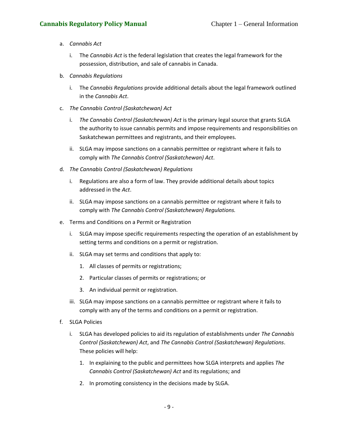## <span id="page-9-0"></span>**Cannabis Regulatory Policy Manual** Chapter 1 – General Information

- a. *Cannabis Act*
	- i. The *Cannabis Act* is the federal legislation that creates the legal framework for the possession, distribution, and sale of cannabis in Canada.
- <span id="page-9-1"></span>b. *Cannabis Regulations* 
	- i. The *Cannabis Regulations* provide additional details about the legal framework outlined in the *Cannabis Act*.
- <span id="page-9-2"></span>c. *The Cannabis Control (Saskatchewan) Act*
	- i. *The Cannabis Control (Saskatchewan) Act* is the primary legal source that grants SLGA the authority to issue cannabis permits and impose requirements and responsibilities on Saskatchewan permittees and registrants, and their employees.
	- ii. SLGA may impose sanctions on a cannabis permittee or registrant where it fails to comply with *The Cannabis Control (Saskatchewan) Act*.
- <span id="page-9-3"></span>d. *The Cannabis Control (Saskatchewan) Regulations*
	- i. Regulations are also a form of law. They provide additional details about topics addressed in the *Act*.
	- ii. SLGA may impose sanctions on a cannabis permittee or registrant where it fails to comply with *The Cannabis Control (Saskatchewan) Regulations.*
- <span id="page-9-4"></span>e. Terms and Conditions on a Permit or Registration
	- i. SLGA may impose specific requirements respecting the operation of an establishment by setting terms and conditions on a permit or registration.
	- ii. SLGA may set terms and conditions that apply to:
		- 1. All classes of permits or registrations;
		- 2. Particular classes of permits or registrations; or
		- 3. An individual permit or registration.
	- iii. SLGA may impose sanctions on a cannabis permittee or registrant where it fails to comply with any of the terms and conditions on a permit or registration.
- <span id="page-9-5"></span>f. SLGA Policies
	- i. SLGA has developed policies to aid its regulation of establishments under *The Cannabis Control (Saskatchewan) Act*, and *The Cannabis Control (Saskatchewan) Regulations*. These policies will help:
		- 1. In explaining to the public and permittees how SLGA interprets and applies *The Cannabis Control (Saskatchewan) Act* and its regulations; and
		- 2. In promoting consistency in the decisions made by SLGA.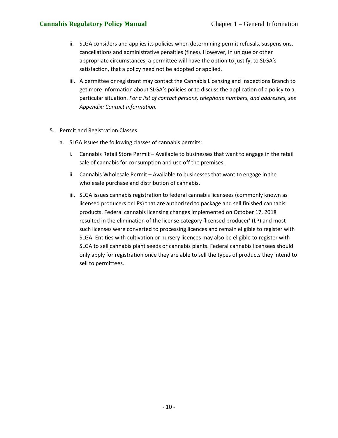- ii. SLGA considers and applies its policies when determining permit refusals, suspensions, cancellations and administrative penalties (fines). However, in unique or other appropriate circumstances, a permittee will have the option to justify, to SLGA's satisfaction, that a policy need not be adopted or applied.
- iii. A permittee or registrant may contact the Cannabis Licensing and Inspections Branch to get more information about SLGA's policies or to discuss the application of a policy to a particular situation. *For a list of contact persons, telephone numbers, and addresses, see Appendix: Contact Information.*
- <span id="page-10-0"></span>5. Permit and Registration Classes
	- a. SLGA issues the following classes of cannabis permits:
		- i. Cannabis Retail Store Permit Available to businesses that want to engage in the retail sale of cannabis for consumption and use off the premises.
		- ii. Cannabis Wholesale Permit Available to businesses that want to engage in the wholesale purchase and distribution of cannabis.
		- iii. SLGA issues cannabis registration to federal cannabis licensees (commonly known as licensed producers or LPs) that are authorized to package and sell finished cannabis products. Federal cannabis licensing changes implemented on October 17, 2018 resulted in the elimination of the license category 'licensed producer' (LP) and most such licenses were converted to processing licences and remain eligible to register with SLGA. Entities with cultivation or nursery licences may also be eligible to register with SLGA to sell cannabis plant seeds or cannabis plants. Federal cannabis licensees should only apply for registration once they are able to sell the types of products they intend to sell to permittees.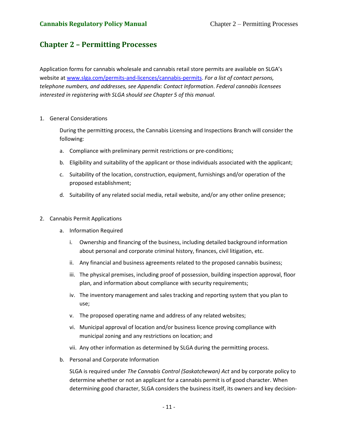# <span id="page-11-0"></span>**Chapter 2 – Permitting Processes**

Application forms for cannabis wholesale and cannabis retail store permits are available on SLGA's website at [www.slga.com/permits-and-licences/cannabis-permits.](http://www.slga.com/permits-and-licences/cannabis-permits) *For a list of contact persons, telephone numbers, and addresses, see Appendix: Contact Information*. *Federal cannabis licensees interested in registering with SLGA should see Chapter 5 of this manual.*

<span id="page-11-1"></span>1. General Considerations

During the permitting process, the Cannabis Licensing and Inspections Branch will consider the following:

- a. Compliance with preliminary permit restrictions or pre-conditions;
- b. Eligibility and suitability of the applicant or those individuals associated with the applicant;
- c. Suitability of the location, construction, equipment, furnishings and/or operation of the proposed establishment;
- d. Suitability of any related social media, retail website, and/or any other online presence;
- <span id="page-11-3"></span><span id="page-11-2"></span>2. Cannabis Permit Applications
	- a. Information Required
		- i. Ownership and financing of the business, including detailed background information about personal and corporate criminal history, finances, civil litigation, etc.
		- ii. Any financial and business agreements related to the proposed cannabis business;
		- iii. The physical premises, including proof of possession, building inspection approval, floor plan, and information about compliance with security requirements;
		- iv. The inventory management and sales tracking and reporting system that you plan to use;
		- v. The proposed operating name and address of any related websites;
		- vi. Municipal approval of location and/or business licence proving compliance with municipal zoning and any restrictions on location; and
		- vii. Any other information as determined by SLGA during the permitting process.
	- b. Personal and Corporate Information

<span id="page-11-4"></span>SLGA is required under *The Cannabis Control (Saskatchewan) Act* and by corporate policy to determine whether or not an applicant for a cannabis permit is of good character. When determining good character, SLGA considers the business itself, its owners and key decision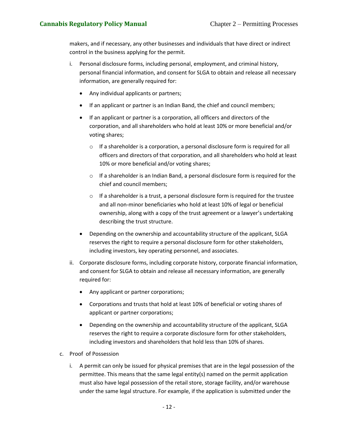makers, and if necessary, any other businesses and individuals that have direct or indirect control in the business applying for the permit.

- i. Personal disclosure forms, including personal, employment, and criminal history, personal financial information, and consent for SLGA to obtain and release all necessary information, are generally required for:
	- Any individual applicants or partners;
	- If an applicant or partner is an Indian Band, the chief and council members;
	- If an applicant or partner is a corporation, all officers and directors of the corporation, and all shareholders who hold at least 10% or more beneficial and/or voting shares;
		- o If a shareholder is a corporation, a personal disclosure form is required for all officers and directors of that corporation, and all shareholders who hold at least 10% or more beneficial and/or voting shares;
		- $\circ$  If a shareholder is an Indian Band, a personal disclosure form is required for the chief and council members;
		- o If a shareholder is a trust, a personal disclosure form is required for the trustee and all non-minor beneficiaries who hold at least 10% of legal or beneficial ownership, along with a copy of the trust agreement or a lawyer's undertaking describing the trust structure.
	- Depending on the ownership and accountability structure of the applicant, SLGA reserves the right to require a personal disclosure form for other stakeholders, including investors, key operating personnel, and associates.
- ii. Corporate disclosure forms, including corporate history, corporate financial information, and consent for SLGA to obtain and release all necessary information, are generally required for:
	- Any applicant or partner corporations;
	- Corporations and trusts that hold at least 10% of beneficial or voting shares of applicant or partner corporations;
	- Depending on the ownership and accountability structure of the applicant, SLGA reserves the right to require a corporate disclosure form for other stakeholders, including investors and shareholders that hold less than 10% of shares.
- <span id="page-12-0"></span>c. Proof of Possession
	- i. A permit can only be issued for physical premises that are in the legal possession of the permittee. This means that the same legal entity(s) named on the permit application must also have legal possession of the retail store, storage facility, and/or warehouse under the same legal structure. For example, if the application is submitted under the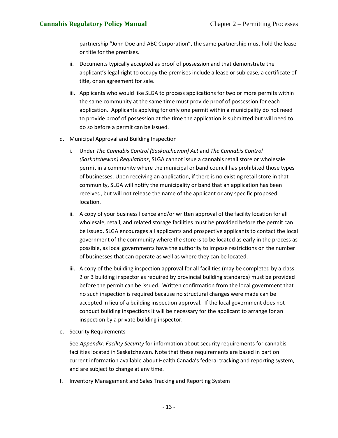partnership "John Doe and ABC Corporation", the same partnership must hold the lease or title for the premises.

- ii. Documents typically accepted as proof of possession and that demonstrate the applicant's legal right to occupy the premises include a lease or sublease, a certificate of title, or an agreement for sale.
- iii. Applicants who would like SLGA to process applications for two or more permits within the same community at the same time must provide proof of possession for each application. Applicants applying for only one permit within a municipality do not need to provide proof of possession at the time the application is submitted but will need to do so before a permit can be issued.
- <span id="page-13-0"></span>d. Municipal Approval and Building Inspection
	- i. Under *The Cannabis Control (Saskatchewan) Act* and *The Cannabis Control (Saskatchewan) Regulations*, SLGA cannot issue a cannabis retail store or wholesale permit in a community where the municipal or band council has prohibited those types of businesses. Upon receiving an application, if there is no existing retail store in that community, SLGA will notify the municipality or band that an application has been received, but will not release the name of the applicant or any specific proposed location.
	- ii. A copy of your business licence and/or written approval of the facility location for all wholesale, retail, and related storage facilities must be provided before the permit can be issued. SLGA encourages all applicants and prospective applicants to contact the local government of the community where the store is to be located as early in the process as possible, as local governments have the authority to impose restrictions on the number of businesses that can operate as well as where they can be located.
	- iii. A copy of the building inspection approval for all facilities (may be completed by a class 2 or 3 building inspector as required by provincial building standards) must be provided before the permit can be issued. Written confirmation from the local government that no such inspection is required because no structural changes were made can be accepted in lieu of a building inspection approval. If the local government does not conduct building inspections it will be necessary for the applicant to arrange for an inspection by a private building inspector.
- <span id="page-13-1"></span>e. Security Requirements

See *Appendix: Facility Security* for information about security requirements for cannabis facilities located in Saskatchewan. Note that these requirements are based in part on current information available about Health Canada's federal tracking and reporting system, and are subject to change at any time.

<span id="page-13-2"></span>f. Inventory Management and Sales Tracking and Reporting System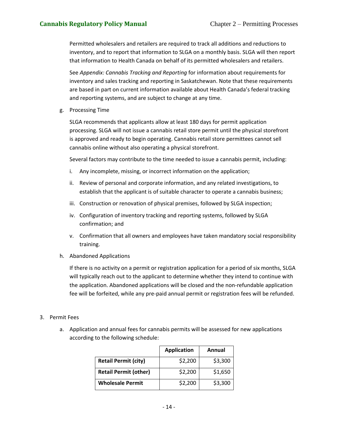Permitted wholesalers and retailers are required to track all additions and reductions to inventory, and to report that information to SLGA on a monthly basis. SLGA will then report that information to Health Canada on behalf of its permitted wholesalers and retailers.

See *Appendix: Cannabis Tracking and Reporting* for information about requirements for inventory and sales tracking and reporting in Saskatchewan. Note that these requirements are based in part on current information available about Health Canada's federal tracking and reporting systems, and are subject to change at any time.

<span id="page-14-0"></span>g. Processing Time

SLGA recommends that applicants allow at least 180 days for permit application processing. SLGA will not issue a cannabis retail store permit until the physical storefront is approved and ready to begin operating. Cannabis retail store permittees cannot sell cannabis online without also operating a physical storefront.

Several factors may contribute to the time needed to issue a cannabis permit, including:

- i. Any incomplete, missing, or incorrect information on the application;
- ii. Review of personal and corporate information, and any related investigations, to establish that the applicant is of suitable character to operate a cannabis business;
- iii. Construction or renovation of physical premises, followed by SLGA inspection;
- iv. Configuration of inventory tracking and reporting systems, followed by SLGA confirmation; and
- v. Confirmation that all owners and employees have taken mandatory social responsibility training.
- h. Abandoned Applications

If there is no activity on a permit or registration application for a period of six months, SLGA will typically reach out to the applicant to determine whether they intend to continue with the application. Abandoned applications will be closed and the non-refundable application fee will be forfeited, while any pre-paid annual permit or registration fees will be refunded.

### <span id="page-14-1"></span>3. Permit Fees

a. Application and annual fees for cannabis permits will be assessed for new applications according to the following schedule:

|                              | <b>Application</b> | Annual  |
|------------------------------|--------------------|---------|
| <b>Retail Permit (city)</b>  | \$2,200            | \$3,300 |
| <b>Retail Permit (other)</b> | \$2,200            | \$1,650 |
| <b>Wholesale Permit</b>      | \$2,200            | \$3,300 |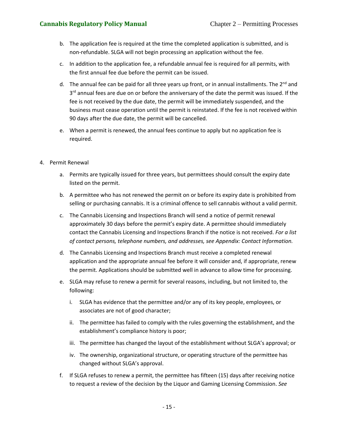## **Cannabis Regulatory Policy Manual** Chapter 2 – Permitting Processes

- b. The application fee is required at the time the completed application is submitted, and is non-refundable. SLGA will not begin processing an application without the fee.
- c. In addition to the application fee, a refundable annual fee is required for all permits, with the first annual fee due before the permit can be issued.
- d. The annual fee can be paid for all three years up front, or in annual installments. The 2<sup>nd</sup> and 3<sup>rd</sup> annual fees are due on or before the anniversary of the date the permit was issued. If the fee is not received by the due date, the permit will be immediately suspended, and the business must cease operation until the permit is reinstated. If the fee is not received within 90 days after the due date, the permit will be cancelled.
- e. When a permit is renewed, the annual fees continue to apply but no application fee is required.
- <span id="page-15-0"></span>4. Permit Renewal
	- a. Permits are typically issued for three years, but permittees should consult the expiry date listed on the permit.
	- b. A permittee who has not renewed the permit on or before its expiry date is prohibited from selling or purchasing cannabis. It is a criminal offence to sell cannabis without a valid permit.
	- c. The Cannabis Licensing and Inspections Branch will send a notice of permit renewal approximately 30 days before the permit's expiry date. A permittee should immediately contact the Cannabis Licensing and Inspections Branch if the notice is not received. *For a list of contact persons, telephone numbers, and addresses, see Appendix: Contact Information.*
	- d. The Cannabis Licensing and Inspections Branch must receive a completed renewal application and the appropriate annual fee before it will consider and, if appropriate, renew the permit. Applications should be submitted well in advance to allow time for processing.
	- e. SLGA may refuse to renew a permit for several reasons, including, but not limited to, the following:
		- i. SLGA has evidence that the permittee and/or any of its key people, employees, or associates are not of good character;
		- ii. The permittee has failed to comply with the rules governing the establishment, and the establishment's compliance history is poor;
		- iii. The permittee has changed the layout of the establishment without SLGA's approval; or
		- iv. The ownership, organizational structure, or operating structure of the permittee has changed without SLGA's approval.
	- f. If SLGA refuses to renew a permit, the permittee has fifteen (15) days after receiving notice to request a review of the decision by the Liquor and Gaming Licensing Commission. *See*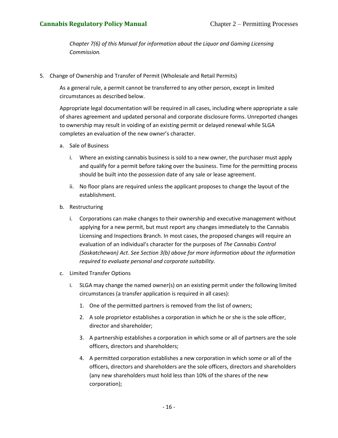*Chapter 7(6) of this Manual for information about the Liquor and Gaming Licensing Commission.*

<span id="page-16-0"></span>5. Change of Ownership and Transfer of Permit (Wholesale and Retail Permits)

As a general rule, a permit cannot be transferred to any other person, except in limited circumstances as described below.

Appropriate legal documentation will be required in all cases, including where appropriate a sale of shares agreement and updated personal and corporate disclosure forms. Unreported changes to ownership may result in voiding of an existing permit or delayed renewal while SLGA completes an evaluation of the new owner's character.

- <span id="page-16-1"></span>a. Sale of Business
	- i. Where an existing cannabis business is sold to a new owner, the purchaser must apply and qualify for a permit before taking over the business. Time for the permitting process should be built into the possession date of any sale or lease agreement.
	- ii. No floor plans are required unless the applicant proposes to change the layout of the establishment.
- <span id="page-16-2"></span>b. Restructuring
	- i. Corporations can make changes to their ownership and executive management without applying for a new permit, but must report any changes immediately to the Cannabis Licensing and Inspections Branch. In most cases, the proposed changes will require an evaluation of an individual's character for the purposes of *The Cannabis Control (Saskatchewan) Act*. *See Section 3(b) above for more information about the information required to evaluate personal and corporate suitability.*
- <span id="page-16-3"></span>c. Limited Transfer Options
	- i. SLGA may change the named owner(s) on an existing permit under the following limited circumstances (a transfer application is required in all cases):
		- 1. One of the permitted partners is removed from the list of owners;
		- 2. A sole proprietor establishes a corporation in which he or she is the sole officer, director and shareholder;
		- 3. A partnership establishes a corporation in which some or all of partners are the sole officers, directors and shareholders;
		- 4. A permitted corporation establishes a new corporation in which some or all of the officers, directors and shareholders are the sole officers, directors and shareholders (any new shareholders must hold less than 10% of the shares of the new corporation);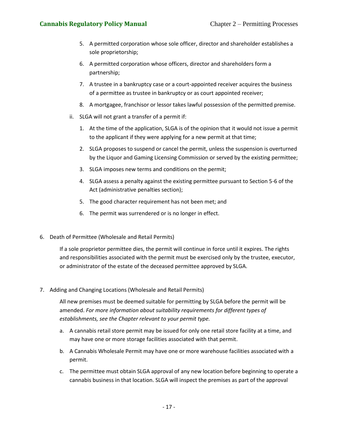## **Cannabis Regulatory Policy Manual** Chapter 2 – Permitting Processes

- 5. A permitted corporation whose sole officer, director and shareholder establishes a sole proprietorship;
- 6. A permitted corporation whose officers, director and shareholders form a partnership;
- 7. A trustee in a bankruptcy case or a court-appointed receiver acquires the business of a permittee as trustee in bankruptcy or as court appointed receiver;
- 8. A mortgagee, franchisor or lessor takes lawful possession of the permitted premise.
- ii. SLGA will not grant a transfer of a permit if:
	- 1. At the time of the application, SLGA is of the opinion that it would not issue a permit to the applicant if they were applying for a new permit at that time;
	- 2. SLGA proposes to suspend or cancel the permit, unless the suspension is overturned by the Liquor and Gaming Licensing Commission or served by the existing permittee;
	- 3. SLGA imposes new terms and conditions on the permit;
	- 4. SLGA assess a penalty against the existing permittee pursuant to Section 5-6 of the Act (administrative penalties section);
	- 5. The good character requirement has not been met; and
	- 6. The permit was surrendered or is no longer in effect.
- <span id="page-17-0"></span>6. Death of Permittee (Wholesale and Retail Permits)

If a sole proprietor permittee dies, the permit will continue in force until it expires. The rights and responsibilities associated with the permit must be exercised only by the trustee, executor, or administrator of the estate of the deceased permittee approved by SLGA.

<span id="page-17-1"></span>7. Adding and Changing Locations (Wholesale and Retail Permits)

All new premises must be deemed suitable for permitting by SLGA before the permit will be amended. *For more information about suitability requirements for different types of establishments, see the Chapter relevant to your permit type.*

- a. A cannabis retail store permit may be issued for only one retail store facility at a time, and may have one or more storage facilities associated with that permit.
- b. A Cannabis Wholesale Permit may have one or more warehouse facilities associated with a permit.
- c. The permittee must obtain SLGA approval of any new location before beginning to operate a cannabis business in that location. SLGA will inspect the premises as part of the approval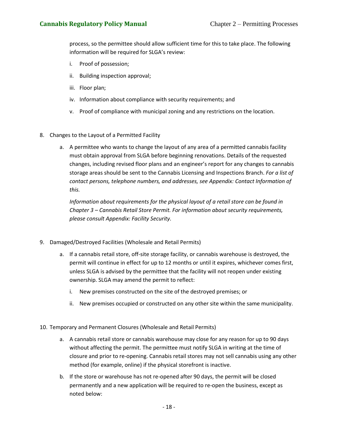process, so the permittee should allow sufficient time for this to take place. The following information will be required for SLGA's review:

- i. Proof of possession;
- ii. Building inspection approval;
- iii. Floor plan;
- iv. Information about compliance with security requirements; and
- v. Proof of compliance with municipal zoning and any restrictions on the location.
- <span id="page-18-0"></span>8. Changes to the Layout of a Permitted Facility
	- a. A permittee who wants to change the layout of any area of a permitted cannabis facility must obtain approval from SLGA before beginning renovations. Details of the requested changes, including revised floor plans and an engineer's report for any changes to cannabis storage areas should be sent to the Cannabis Licensing and Inspections Branch. *For a list of contact persons, telephone numbers, and addresses, see Appendix: Contact Information of this.*

*Information about requirements for the physical layout of a retail store can be found in Chapter 3 – Cannabis Retail Store Permit. For information about security requirements, please consult Appendix: Facility Security.*

- <span id="page-18-1"></span>9. Damaged/Destroyed Facilities (Wholesale and Retail Permits)
	- a. If a cannabis retail store, off-site storage facility, or cannabis warehouse is destroyed, the permit will continue in effect for up to 12 months or until it expires, whichever comes first, unless SLGA is advised by the permittee that the facility will not reopen under existing ownership. SLGA may amend the permit to reflect:
		- i. New premises constructed on the site of the destroyed premises; or
		- ii. New premises occupied or constructed on any other site within the same municipality.
- <span id="page-18-2"></span>10. Temporary and Permanent Closures (Wholesale and Retail Permits)
	- a. A cannabis retail store or cannabis warehouse may close for any reason for up to 90 days without affecting the permit. The permittee must notify SLGA in writing at the time of closure and prior to re-opening. Cannabis retail stores may not sell cannabis using any other method (for example, online) if the physical storefront is inactive.
	- b. If the store or warehouse has not re-opened after 90 days, the permit will be closed permanently and a new application will be required to re-open the business, except as noted below: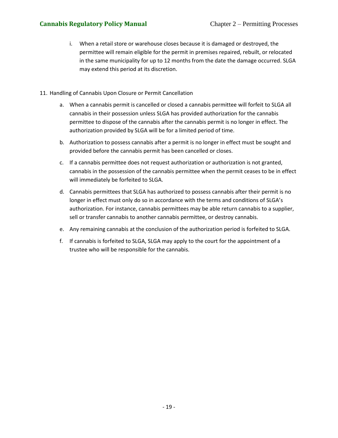- i. When a retail store or warehouse closes because it is damaged or destroyed, the permittee will remain eligible for the permit in premises repaired, rebuilt, or relocated in the same municipality for up to 12 months from the date the damage occurred. SLGA may extend this period at its discretion.
- <span id="page-19-0"></span>11. Handling of Cannabis Upon Closure or Permit Cancellation
	- a. When a cannabis permit is cancelled or closed a cannabis permittee will forfeit to SLGA all cannabis in their possession unless SLGA has provided authorization for the cannabis permittee to dispose of the cannabis after the cannabis permit is no longer in effect. The authorization provided by SLGA will be for a limited period of time.
	- b. Authorization to possess cannabis after a permit is no longer in effect must be sought and provided before the cannabis permit has been cancelled or closes.
	- c. If a cannabis permittee does not request authorization or authorization is not granted, cannabis in the possession of the cannabis permittee when the permit ceases to be in effect will immediately be forfeited to SLGA.
	- d. Cannabis permittees that SLGA has authorized to possess cannabis after their permit is no longer in effect must only do so in accordance with the terms and conditions of SLGA's authorization. For instance, cannabis permittees may be able return cannabis to a supplier, sell or transfer cannabis to another cannabis permittee, or destroy cannabis.
	- e. Any remaining cannabis at the conclusion of the authorization period is forfeited to SLGA.
	- f. If cannabis is forfeited to SLGA, SLGA may apply to the court for the appointment of a trustee who will be responsible for the cannabis.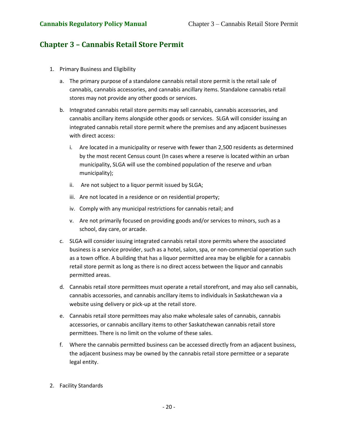# <span id="page-20-0"></span>**Chapter 3 – Cannabis Retail Store Permit**

- <span id="page-20-1"></span>1. Primary Business and Eligibility
	- a. The primary purpose of a standalone cannabis retail store permit is the retail sale of cannabis, cannabis accessories, and cannabis ancillary items. Standalone cannabis retail stores may not provide any other goods or services.
	- b. Integrated cannabis retail store permits may sell cannabis, cannabis accessories, and cannabis ancillary items alongside other goods or services. SLGA will consider issuing an integrated cannabis retail store permit where the premises and any adjacent businesses with direct access:
		- i. Are located in a municipality or reserve with fewer than 2,500 residents as determined by the most recent Census count (In cases where a reserve is located within an urban municipality, SLGA will use the combined population of the reserve and urban municipality);
		- ii. Are not subject to a liquor permit issued by SLGA;
		- iii. Are not located in a residence or on residential property;
		- iv. Comply with any municipal restrictions for cannabis retail; and
		- v. Are not primarily focused on providing goods and/or services to minors, such as a school, day care, or arcade.
	- c. SLGA will consider issuing integrated cannabis retail store permits where the associated business is a service provider, such as a hotel, salon, spa, or non-commercial operation such as a town office. A building that has a liquor permitted area may be eligible for a cannabis retail store permit as long as there is no direct access between the liquor and cannabis permitted areas.
	- d. Cannabis retail store permittees must operate a retail storefront, and may also sell cannabis, cannabis accessories, and cannabis ancillary items to individuals in Saskatchewan via a website using delivery or pick-up at the retail store.
	- e. Cannabis retail store permittees may also make wholesale sales of cannabis, cannabis accessories, or cannabis ancillary items to other Saskatchewan cannabis retail store permittees. There is no limit on the volume of these sales.
	- f. Where the cannabis permitted business can be accessed directly from an adjacent business, the adjacent business may be owned by the cannabis retail store permittee or a separate legal entity.
- <span id="page-20-2"></span>2. Facility Standards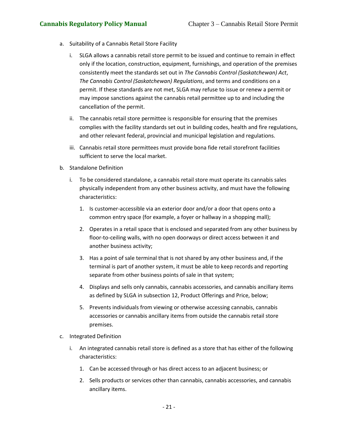- <span id="page-21-0"></span>a. Suitability of a Cannabis Retail Store Facility
	- i. SLGA allows a cannabis retail store permit to be issued and continue to remain in effect only if the location, construction, equipment, furnishings, and operation of the premises consistently meet the standards set out in *The Cannabis Control (Saskatchewan) Act*, *The Cannabis Control (Saskatchewan) Regulations*, and terms and conditions on a permit. If these standards are not met, SLGA may refuse to issue or renew a permit or may impose sanctions against the cannabis retail permittee up to and including the cancellation of the permit.
	- ii. The cannabis retail store permittee is responsible for ensuring that the premises complies with the facility standards set out in building codes, health and fire regulations, and other relevant federal, provincial and municipal legislation and regulations.
	- iii. Cannabis retail store permittees must provide bona fide retail storefront facilities sufficient to serve the local market.
- <span id="page-21-1"></span>b. Standalone Definition
	- i. To be considered standalone, a cannabis retail store must operate its cannabis sales physically independent from any other business activity, and must have the following characteristics:
		- 1. Is customer-accessible via an exterior door and/or a door that opens onto a common entry space (for example, a foyer or hallway in a shopping mall);
		- 2. Operates in a retail space that is enclosed and separated from any other business by floor-to-ceiling walls, with no open doorways or direct access between it and another business activity;
		- 3. Has a point of sale terminal that is not shared by any other business and, if the terminal is part of another system, it must be able to keep records and reporting separate from other business points of sale in that system;
		- 4. Displays and sells only cannabis, cannabis accessories, and cannabis ancillary items as defined by SLGA in subsection 12, Product Offerings and Price, below;
		- 5. Prevents individuals from viewing or otherwise accessing cannabis, cannabis accessories or cannabis ancillary items from outside the cannabis retail store premises.
- <span id="page-21-2"></span>c. Integrated Definition
	- i. An integrated cannabis retail store is defined as a store that has either of the following characteristics:
		- 1. Can be accessed through or has direct access to an adjacent business; or
		- 2. Sells products or services other than cannabis, cannabis accessories, and cannabis ancillary items.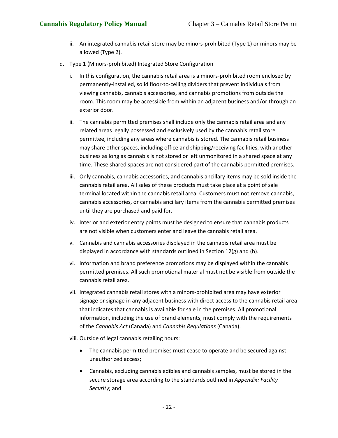- ii. An integrated cannabis retail store may be minors-prohibited (Type 1) or minors may be allowed (Type 2).
- <span id="page-22-0"></span>d. Type 1 (Minors-prohibited) Integrated Store Configuration
	- i. In this configuration, the cannabis retail area is a minors-prohibited room enclosed by permanently-installed, solid floor-to-ceiling dividers that prevent individuals from viewing cannabis, cannabis accessories, and cannabis promotions from outside the room. This room may be accessible from within an adjacent business and/or through an exterior door.
	- ii. The cannabis permitted premises shall include only the cannabis retail area and any related areas legally possessed and exclusively used by the cannabis retail store permittee, including any areas where cannabis is stored. The cannabis retail business may share other spaces, including office and shipping/receiving facilities, with another business as long as cannabis is not stored or left unmonitored in a shared space at any time. These shared spaces are not considered part of the cannabis permitted premises.
	- iii. Only cannabis, cannabis accessories, and cannabis ancillary items may be sold inside the cannabis retail area. All sales of these products must take place at a point of sale terminal located within the cannabis retail area. Customers must not remove cannabis, cannabis accessories, or cannabis ancillary items from the cannabis permitted premises until they are purchased and paid for.
	- iv. Interior and exterior entry points must be designed to ensure that cannabis products are not visible when customers enter and leave the cannabis retail area.
	- v. Cannabis and cannabis accessories displayed in the cannabis retail area must be displayed in accordance with standards outlined in Section 12(g) and (h).
	- vi. Information and brand preference promotions may be displayed within the cannabis permitted premises. All such promotional material must not be visible from outside the cannabis retail area.
	- vii. Integrated cannabis retail stores with a minors-prohibited area may have exterior signage or signage in any adjacent business with direct access to the cannabis retail area that indicates that cannabis is available for sale in the premises. All promotional information, including the use of brand elements, must comply with the requirements of the *Cannabis Act* (Canada) and *Cannabis Regulations* (Canada).
	- viii. Outside of legal cannabis retailing hours:
		- The cannabis permitted premises must cease to operate and be secured against unauthorized access;
		- Cannabis, excluding cannabis edibles and cannabis samples, must be stored in the secure storage area according to the standards outlined in *Appendix: Facility Security*; and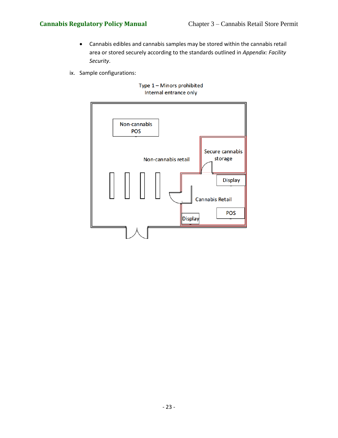- Cannabis edibles and cannabis samples may be stored within the cannabis retail area or stored securely according to the standards outlined in *Appendix: Facility Security*.
- ix. Sample configurations:



### Type 1 - Minors prohibited Internal entrance only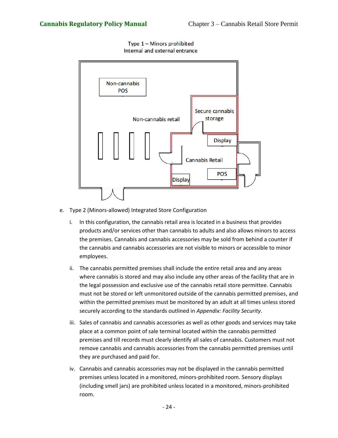Type  $1 -$  Minors prohibited Internal and external entrance



- <span id="page-24-0"></span>e. Type 2 (Minors-allowed) Integrated Store Configuration
	- i. In this configuration, the cannabis retail area is located in a business that provides products and/or services other than cannabis to adults and also allows minors to access the premises. Cannabis and cannabis accessories may be sold from behind a counter if the cannabis and cannabis accessories are not visible to minors or accessible to minor employees.
	- ii. The cannabis permitted premises shall include the entire retail area and any areas where cannabis is stored and may also include any other areas of the facility that are in the legal possession and exclusive use of the cannabis retail store permittee. Cannabis must not be stored or left unmonitored outside of the cannabis permitted premises, and within the permitted premises must be monitored by an adult at all times unless stored securely according to the standards outlined in *Appendix: Facility Security*.
	- iii. Sales of cannabis and cannabis accessories as well as other goods and services may take place at a common point of sale terminal located within the cannabis permitted premises and till records must clearly identify all sales of cannabis. Customers must not remove cannabis and cannabis accessories from the cannabis permitted premises until they are purchased and paid for.
	- iv. Cannabis and cannabis accessories may not be displayed in the cannabis permitted premises unless located in a monitored, minors-prohibited room. Sensory displays (including smell jars) are prohibited unless located in a monitored, minors-prohibited room.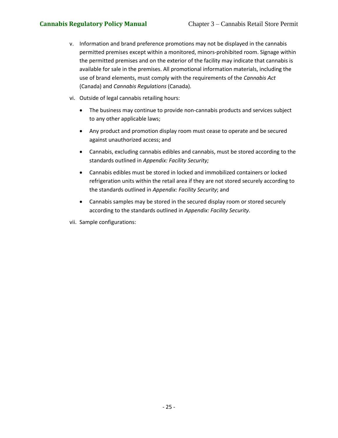- v. Information and brand preference promotions may not be displayed in the cannabis permitted premises except within a monitored, minors-prohibited room. Signage within the permitted premises and on the exterior of the facility may indicate that cannabis is available for sale in the premises. All promotional information materials, including the use of brand elements, must comply with the requirements of the *Cannabis Act*  (Canada) and *Cannabis Regulations* (Canada).
- vi. Outside of legal cannabis retailing hours:
	- The business may continue to provide non-cannabis products and services subject to any other applicable laws;
	- Any product and promotion display room must cease to operate and be secured against unauthorized access; and
	- Cannabis, excluding cannabis edibles and cannabis, must be stored according to the standards outlined in *Appendix: Facility Security;*
	- Cannabis edibles must be stored in locked and immobilized containers or locked refrigeration units within the retail area if they are not stored securely according to the standards outlined in *Appendix: Facility Security*; and
	- Cannabis samples may be stored in the secured display room or stored securely according to the standards outlined in *Appendix: Facility Security*.
- vii. Sample configurations: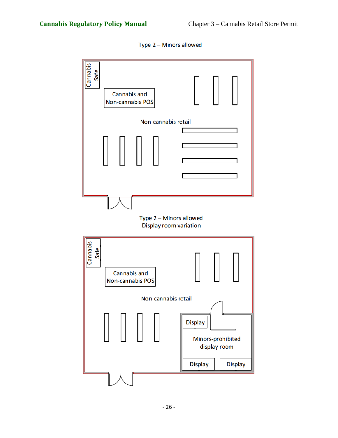Type 2 - Minors allowed

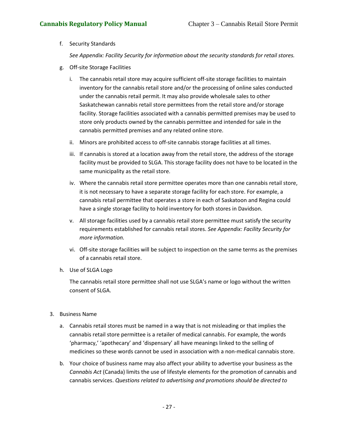### <span id="page-27-0"></span>f. Security Standards

*See Appendix: Facility Security for information about the security standards for retail stores.*

- <span id="page-27-1"></span>g. Off-site Storage Facilities
	- i. The cannabis retail store may acquire sufficient off-site storage facilities to maintain inventory for the cannabis retail store and/or the processing of online sales conducted under the cannabis retail permit. It may also provide wholesale sales to other Saskatchewan cannabis retail store permittees from the retail store and/or storage facility. Storage facilities associated with a cannabis permitted premises may be used to store only products owned by the cannabis permittee and intended for sale in the cannabis permitted premises and any related online store.
	- ii. Minors are prohibited access to off-site cannabis storage facilities at all times.
	- iii. If cannabis is stored at a location away from the retail store, the address of the storage facility must be provided to SLGA. This storage facility does not have to be located in the same municipality as the retail store.
	- iv. Where the cannabis retail store permittee operates more than one cannabis retail store, it is not necessary to have a separate storage facility for each store. For example, a cannabis retail permittee that operates a store in each of Saskatoon and Regina could have a single storage facility to hold inventory for both stores in Davidson.
	- v. All storage facilities used by a cannabis retail store permittee must satisfy the security requirements established for cannabis retail stores. *See Appendix: Facility Security for more information.*
	- vi. Off-site storage facilities will be subject to inspection on the same terms as the premises of a cannabis retail store.
- <span id="page-27-2"></span>h. Use of SLGA Logo

The cannabis retail store permittee shall not use SLGA's name or logo without the written consent of SLGA.

### <span id="page-27-3"></span>3. Business Name

- a. Cannabis retail stores must be named in a way that is not misleading or that implies the cannabis retail store permittee is a retailer of medical cannabis. For example, the words 'pharmacy,' 'apothecary' and 'dispensary' all have meanings linked to the selling of medicines so these words cannot be used in association with a non-medical cannabis store.
- b. Your choice of business name may also affect your ability to advertise your business as the *Cannabis Act* (Canada) limits the use of lifestyle elements for the promotion of cannabis and cannabis services. *Questions related to advertising and promotions should be directed to*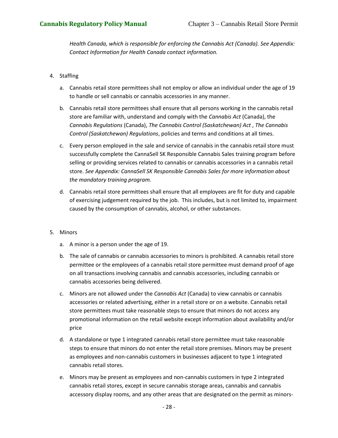*Health Canada, which is responsible for enforcing the Cannabis Act (Canada). See Appendix: Contact Information for Health Canada contact information.*

### <span id="page-28-0"></span>4. Staffing

- a. Cannabis retail store permittees shall not employ or allow an individual under the age of 19 to handle or sell cannabis or cannabis accessories in any manner.
- b. Cannabis retail store permittees shall ensure that all persons working in the cannabis retail store are familiar with, understand and comply with the *Cannabis Act* (Canada), the *Cannabis Regulations* (Canada), *The Cannabis Control (Saskatchewan) Act* , *The Cannabis Control (Saskatchewan) Regulations*, policies and terms and conditions at all times.
- c. Every person employed in the sale and service of cannabis in the cannabis retail store must successfully complete the CannaSell SK Responsible Cannabis Sales training program before selling or providing services related to cannabis or cannabis accessories in a cannabis retail store. *See Appendix: CannaSell SK Responsible Cannabis Sales for more information about the mandatory training program.*
- d. Cannabis retail store permittees shall ensure that all employees are fit for duty and capable of exercising judgement required by the job. This includes, but is not limited to, impairment caused by the consumption of cannabis, alcohol, or other substances.

### <span id="page-28-1"></span>5. Minors

- a. A minor is a person under the age of 19.
- b. The sale of cannabis or cannabis accessories to minors is prohibited. A cannabis retail store permittee or the employees of a cannabis retail store permittee must demand proof of age on all transactions involving cannabis and cannabis accessories, including cannabis or cannabis accessories being delivered.
- c. Minors are not allowed under the *Cannabis Act* (Canada) to view cannabis or cannabis accessories or related advertising, either in a retail store or on a website. Cannabis retail store permittees must take reasonable steps to ensure that minors do not access any promotional information on the retail website except information about availability and/or price
- d. A standalone or type 1 integrated cannabis retail store permittee must take reasonable steps to ensure that minors do not enter the retail store premises. Minors may be present as employees and non-cannabis customers in businesses adjacent to type 1 integrated cannabis retail stores.
- e. Minors may be present as employees and non-cannabis customers in type 2 integrated cannabis retail stores, except in secure cannabis storage areas, cannabis and cannabis accessory display rooms, and any other areas that are designated on the permit as minors-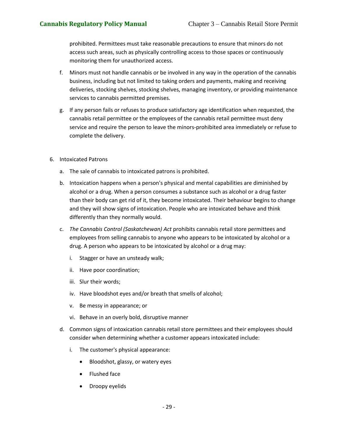prohibited. Permittees must take reasonable precautions to ensure that minors do not access such areas, such as physically controlling access to those spaces or continuously monitoring them for unauthorized access.

- f. Minors must not handle cannabis or be involved in any way in the operation of the cannabis business, including but not limited to taking orders and payments, making and receiving deliveries, stocking shelves, stocking shelves, managing inventory, or providing maintenance services to cannabis permitted premises.
- g. If any person fails or refuses to produce satisfactory age identification when requested, the cannabis retail permittee or the employees of the cannabis retail permittee must deny service and require the person to leave the minors-prohibited area immediately or refuse to complete the delivery.
- <span id="page-29-0"></span>6. Intoxicated Patrons
	- a. The sale of cannabis to intoxicated patrons is prohibited.
	- b. Intoxication happens when a person's physical and mental capabilities are diminished by alcohol or a drug. When a person consumes a substance such as alcohol or a drug faster than their body can get rid of it, they become intoxicated. Their behaviour begins to change and they will show signs of intoxication. People who are intoxicated behave and think differently than they normally would.
	- c. *The Cannabis Control (Saskatchewan) Act* prohibits cannabis retail store permittees and employees from selling cannabis to anyone who appears to be intoxicated by alcohol or a drug. A person who appears to be intoxicated by alcohol or a drug may:
		- i. Stagger or have an unsteady walk;
		- ii. Have poor coordination;
		- iii. Slur their words;
		- iv. Have bloodshot eyes and/or breath that smells of alcohol;
		- v. Be messy in appearance; or
		- vi. Behave in an overly bold, disruptive manner
	- d. Common signs of intoxication cannabis retail store permittees and their employees should consider when determining whether a customer appears intoxicated include:
		- i. The customer's physical appearance:
			- Bloodshot, glassy, or watery eyes
			- Flushed face
			- Droopy eyelids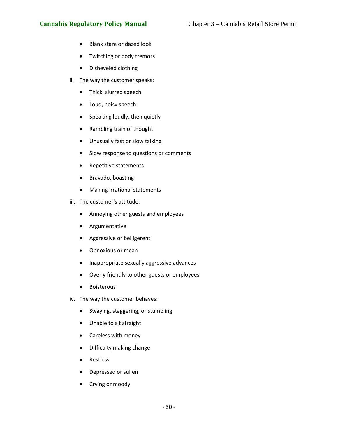# **Cannabis Regulatory Policy Manual** Chapter 3 – Cannabis Retail Store Permit

- Blank stare or dazed look
- Twitching or body tremors
- Disheveled clothing
- ii. The way the customer speaks:
	- Thick, slurred speech
	- Loud, noisy speech
	- Speaking loudly, then quietly
	- Rambling train of thought
	- Unusually fast or slow talking
	- Slow response to questions or comments
	- Repetitive statements
	- Bravado, boasting
	- Making irrational statements
- iii. The customer's attitude:
	- Annoying other guests and employees
	- Argumentative
	- Aggressive or belligerent
	- Obnoxious or mean
	- Inappropriate sexually aggressive advances
	- Overly friendly to other guests or employees
	- Boisterous
- iv. The way the customer behaves:
	- Swaying, staggering, or stumbling
	- Unable to sit straight
	- Careless with money
	- Difficulty making change
	- Restless
	- Depressed or sullen
	- Crying or moody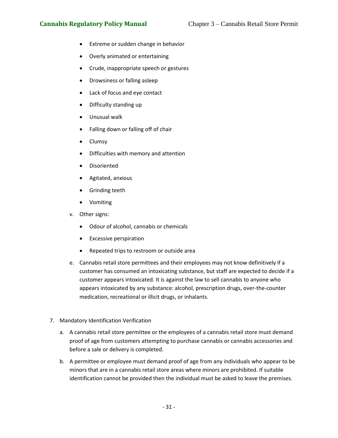- Extreme or sudden change in behavior
- Overly animated or entertaining
- Crude, inappropriate speech or gestures
- Drowsiness or falling asleep
- Lack of focus and eye contact
- Difficulty standing up
- Unusual walk
- Falling down or falling off of chair
- Clumsy
- Difficulties with memory and attention
- Disoriented
- Agitated, anxious
- Grinding teeth
- Vomiting
- v. Other signs:
	- Odour of alcohol, cannabis or chemicals
	- Excessive perspiration
	- Repeated trips to restroom or outside area
- e. Cannabis retail store permittees and their employees may not know definitively if a customer has consumed an intoxicating substance, but staff are expected to decide if a customer appears intoxicated. It is against the law to sell cannabis to anyone who appears intoxicated by any substance: alcohol, prescription drugs, over-the-counter medication, recreational or illicit drugs, or inhalants.
- <span id="page-31-0"></span>7. Mandatory Identification Verification
	- a. A cannabis retail store permittee or the employees of a cannabis retail store must demand proof of age from customers attempting to purchase cannabis or cannabis accessories and before a sale or delivery is completed.
	- b. A permittee or employee must demand proof of age from any individuals who appear to be minors that are in a cannabis retail store areas where minors are prohibited. If suitable identification cannot be provided then the individual must be asked to leave the premises.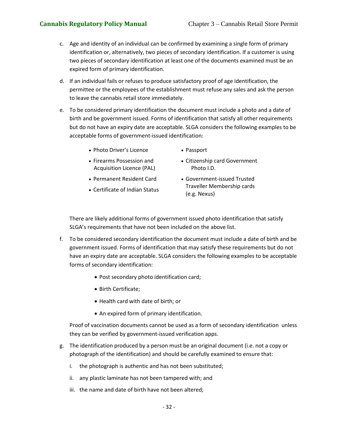- c. Age and identity of an individual can be confirmed by examining a single form of primary identification or, alternatively, two pieces of secondary identification. If a customer is using two pieces of secondary identification at least one of the documents examined must be an expired form of primary identification.
- d. If an individual fails or refuses to produce satisfactory proof of age identification, the permittee or the employees of the establishment must refuse any sales and ask the person to leave the cannabis retail store immediately.
- e. To be considered primary identification the document must include a photo and a date of birth and be government issued. Forms of identification that satisfy all other requirements but do not have an expiry date are acceptable. SLGA considers the following examples to be acceptable forms of government-issued identification:
	- Photo Driver's Licence Passport
		-
	- Firearms Possession and Acquisition Licence (PAL)
- Citizenship card Government Photo I.D.
- Permanent Resident Card
- Certificate of Indian Status
- Government-issued Trusted Traveller Membership cards (e.g. Nexus)

There are likely additional forms of government issued photo identification that satisfy SLGA's requirements that have not been included on the above list.

- f. To be considered secondary identification the document must include a date of birth and be government issued. Forms of identification that may satisfy these requirements but do not have an expiry date are acceptable. SLGA considers the following examples to be acceptable forms of secondary identification:
	- Post secondary photo identification card;
	- Birth Certificate;
	- Health card with date of birth; or
	- An expired form of primary identification.

Proof of vaccination documents cannot be used as a form of secondary identification unless they can be verified by government-issued verification apps.

- g. The identification produced by a person must be an original document (i.e. not a copy or photograph of the identification) and should be carefully examined to ensure that:
	- i. the photograph is authentic and has not been substituted;
	- ii. any plastic laminate has not been tampered with; and
	- iii. the name and date of birth have not been altered;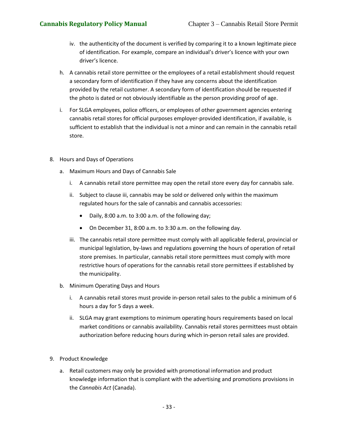- iv. the authenticity of the document is verified by comparing it to a known legitimate piece of identification. For example, compare an individual's driver's licence with your own driver's licence.
- h. A cannabis retail store permittee or the employees of a retail establishment should request a secondary form of identification if they have any concerns about the identification provided by the retail customer. A secondary form of identification should be requested if the photo is dated or not obviously identifiable as the person providing proof of age.
- i. For SLGA employees, police officers, or employees of other government agencies entering cannabis retail stores for official purposes employer-provided identification, if available, is sufficient to establish that the individual is not a minor and can remain in the cannabis retail store.
- <span id="page-33-1"></span><span id="page-33-0"></span>8. Hours and Days of Operations
	- a. Maximum Hours and Days of Cannabis Sale
		- i. A cannabis retail store permittee may open the retail store every day for cannabis sale.
		- ii. Subject to clause iii, cannabis may be sold or delivered only within the maximum regulated hours for the sale of cannabis and cannabis accessories:
			- Daily, 8:00 a.m. to 3:00 a.m. of the following day;
			- On December 31, 8:00 a.m. to 3:30 a.m. on the following day.
		- iii. The cannabis retail store permittee must comply with all applicable federal, provincial or municipal legislation, by-laws and regulations governing the hours of operation of retail store premises. In particular, cannabis retail store permittees must comply with more restrictive hours of operations for the cannabis retail store permittees if established by the municipality.
	- b. Minimum Operating Days and Hours
		- i. A cannabis retail stores must provide in-person retail sales to the public a minimum of 6 hours a day for 5 days a week.
		- ii. SLGA may grant exemptions to minimum operating hours requirements based on local market conditions or cannabis availability. Cannabis retail stores permittees must obtain authorization before reducing hours during which in-person retail sales are provided.
- <span id="page-33-3"></span><span id="page-33-2"></span>9. Product Knowledge
	- a. Retail customers may only be provided with promotional information and product knowledge information that is compliant with the advertising and promotions provisions in the *Cannabis Act* (Canada).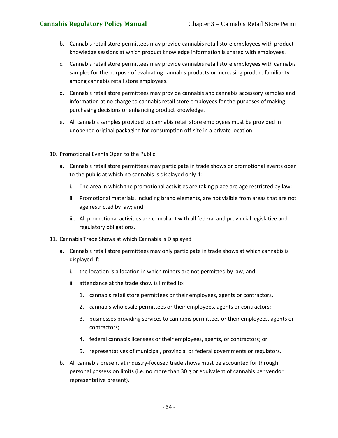- b. Cannabis retail store permittees may provide cannabis retail store employees with product knowledge sessions at which product knowledge information is shared with employees.
- c. Cannabis retail store permittees may provide cannabis retail store employees with cannabis samples for the purpose of evaluating cannabis products or increasing product familiarity among cannabis retail store employees.
- d. Cannabis retail store permittees may provide cannabis and cannabis accessory samples and information at no charge to cannabis retail store employees for the purposes of making purchasing decisions or enhancing product knowledge.
- e. All cannabis samples provided to cannabis retail store employees must be provided in unopened original packaging for consumption off-site in a private location.
- <span id="page-34-0"></span>10. Promotional Events Open to the Public
	- a. Cannabis retail store permittees may participate in trade shows or promotional events open to the public at which no cannabis is displayed only if:
		- i. The area in which the promotional activities are taking place are age restricted by law;
		- ii. Promotional materials, including brand elements, are not visible from areas that are not age restricted by law; and
		- iii. All promotional activities are compliant with all federal and provincial legislative and regulatory obligations.
- <span id="page-34-1"></span>11. Cannabis Trade Shows at which Cannabis is Displayed
	- a. Cannabis retail store permittees may only participate in trade shows at which cannabis is displayed if:
		- i. the location is a location in which minors are not permitted by law; and
		- ii. attendance at the trade show is limited to:
			- 1. cannabis retail store permittees or their employees, agents or contractors,
			- 2. cannabis wholesale permittees or their employees, agents or contractors;
			- 3. businesses providing services to cannabis permittees or their employees, agents or contractors;
			- 4. federal cannabis licensees or their employees, agents, or contractors; or
			- 5. representatives of municipal, provincial or federal governments or regulators.
	- b. All cannabis present at industry-focused trade shows must be accounted for through personal possession limits (i.e. no more than 30 g or equivalent of cannabis per vendor representative present).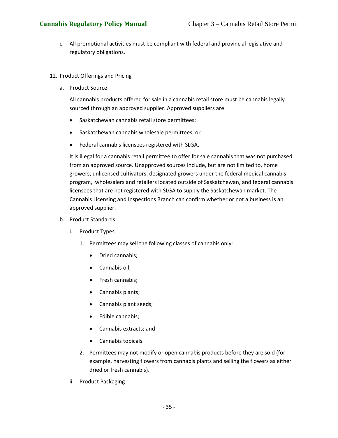- c. All promotional activities must be compliant with federal and provincial legislative and regulatory obligations.
- <span id="page-35-1"></span><span id="page-35-0"></span>12. Product Offerings and Pricing
	- a. Product Source

All cannabis products offered for sale in a cannabis retail store must be cannabis legally sourced through an approved supplier. Approved suppliers are:

- Saskatchewan cannabis retail store permittees;
- Saskatchewan cannabis wholesale permittees; or
- Federal cannabis licensees registered with SLGA.

It is illegal for a cannabis retail permittee to offer for sale cannabis that was not purchased from an approved source. Unapproved sources include, but are not limited to, home growers, unlicensed cultivators, designated growers under the federal medical cannabis program, wholesalers and retailers located outside of Saskatchewan, and federal cannabis licensees that are not registered with SLGA to supply the Saskatchewan market. The Cannabis Licensing and Inspections Branch can confirm whether or not a business is an approved supplier.

- <span id="page-35-2"></span>b. Product Standards
	- i. Product Types
		- 1. Permittees may sell the following classes of cannabis only:
			- Dried cannabis;
			- Cannabis oil;
			- Fresh cannabis;
			- Cannabis plants;
			- Cannabis plant seeds;
			- Edible cannabis;
			- Cannabis extracts; and
			- Cannabis topicals.
		- 2. Permittees may not modify or open cannabis products before they are sold (for example, harvesting flowers from cannabis plants and selling the flowers as either dried or fresh cannabis).
	- ii. Product Packaging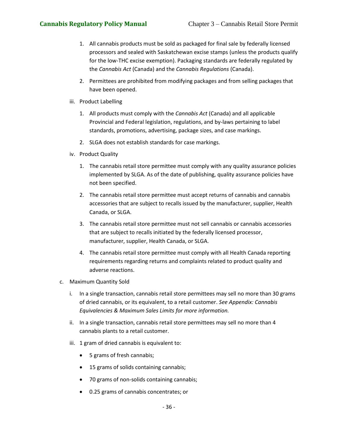- 1. All cannabis products must be sold as packaged for final sale by federally licensed processors and sealed with Saskatchewan excise stamps (unless the products qualify for the low-THC excise exemption). Packaging standards are federally regulated by the *Cannabis Act* (Canada) and the *Cannabis Regulations* (Canada).
- 2. Permittees are prohibited from modifying packages and from selling packages that have been opened.
- iii. Product Labelling
	- 1. All products must comply with the *Cannabis Act* (Canada) and all applicable Provincial and Federal legislation, regulations, and by-laws pertaining to label standards, promotions, advertising, package sizes, and case markings.
	- 2. SLGA does not establish standards for case markings.
- iv. Product Quality
	- 1. The cannabis retail store permittee must comply with any quality assurance policies implemented by SLGA. As of the date of publishing, quality assurance policies have not been specified.
	- 2. The cannabis retail store permittee must accept returns of cannabis and cannabis accessories that are subject to recalls issued by the manufacturer, supplier, Health Canada, or SLGA.
	- 3. The cannabis retail store permittee must not sell cannabis or cannabis accessories that are subject to recalls initiated by the federally licensed processor, manufacturer, supplier, Health Canada, or SLGA.
	- 4. The cannabis retail store permittee must comply with all Health Canada reporting requirements regarding returns and complaints related to product quality and adverse reactions.
- c. Maximum Quantity Sold
	- i. In a single transaction, cannabis retail store permittees may sell no more than 30 grams of dried cannabis, or its equivalent, to a retail customer. *See Appendix: Cannabis Equivalencies & Maximum Sales Limits for more information.*
	- ii. In a single transaction, cannabis retail store permittees may sell no more than 4 cannabis plants to a retail customer.
	- iii. 1 gram of dried cannabis is equivalent to:
		- 5 grams of fresh cannabis;
		- 15 grams of solids containing cannabis;
		- 70 grams of non-solids containing cannabis;
		- 0.25 grams of cannabis concentrates; or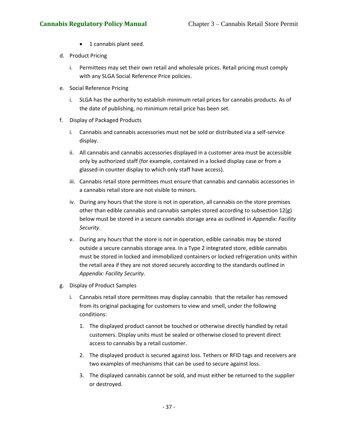- 1 cannabis plant seed.
- d. Product Pricing
	- i. Permittees may set their own retail and wholesale prices. Retail pricing must comply with any SLGA Social Reference Price policies.
- e. Social Reference Pricing
	- i. SLGA has the authority to establish minimum retail prices for cannabis products. As of the date of publishing, no minimum retail price has been set.
- f. Display of Packaged Products
	- i. Cannabis and cannabis accessories must not be sold or distributed via a self-service display.
	- ii. All cannabis and cannabis accessories displayed in a customer area must be accessible only by authorized staff (for example, contained in a locked display case or from a glassed-in counter display to which only staff have access).
	- iii. Cannabis retail store permittees must ensure that cannabis and cannabis accessories in a cannabis retail store are not visible to minors.
	- iv. During any hours that the store is not in operation, all cannabis on the store premises other than edible cannabis and cannabis samples stored according to subsection 12(g) below must be stored in a secure cannabis storage area as outlined in *Appendix: Facility Security*.
	- v. During any hours that the store is not in operation, edible cannabis may be stored outside a secure cannabis storage area. In a Type 2 integrated store, edible cannabis must be stored in locked and immobilized containers or locked refrigeration units within the retail area if they are not stored securely according to the standards outlined in *Appendix: Facility Security*.
- g. Display of Product Samples
	- i. Cannabis retail store permittees may display cannabis that the retailer has removed from its original packaging for customers to view and smell, under the following conditions:
		- 1. The displayed product cannot be touched or otherwise directly handled by retail customers. Display units must be sealed or otherwise closed to prevent direct access to cannabis by a retail customer.
		- 2. The displayed product is secured against loss. Tethers or RFID tags and receivers are two examples of mechanisms that can be used to secure against loss.
		- 3. The displayed cannabis cannot be sold, and must either be returned to the supplier or destroyed.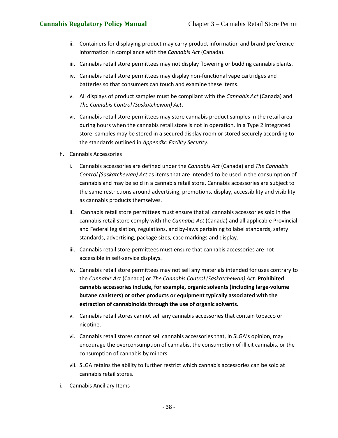- ii. Containers for displaying product may carry product information and brand preference information in compliance with the *Cannabis Act* (Canada).
- iii. Cannabis retail store permittees may not display flowering or budding cannabis plants.
- iv. Cannabis retail store permittees may display non-functional vape cartridges and batteries so that consumers can touch and examine these items.
- v. All displays of product samples must be compliant with the *Cannabis Act* (Canada) and *The Cannabis Control (Saskatchewan) Act*.
- vi. Cannabis retail store permittees may store cannabis product samples in the retail area during hours when the cannabis retail store is not in operation. In a Type 2 integrated store, samples may be stored in a secured display room or stored securely according to the standards outlined in *Appendix: Facility Security*.
- h. Cannabis Accessories
	- i. Cannabis accessories are defined under the *Cannabis Act* (Canada) and *The Cannabis Control (Saskatchewan) Act* as items that are intended to be used in the consumption of cannabis and may be sold in a cannabis retail store. Cannabis accessories are subject to the same restrictions around advertising, promotions, display, accessibility and visibility as cannabis products themselves.
	- ii. Cannabis retail store permittees must ensure that all cannabis accessories sold in the cannabis retail store comply with the *Cannabis Act* (Canada) and all applicable Provincial and Federal legislation, regulations, and by-laws pertaining to label standards, safety standards, advertising, package sizes, case markings and display.
	- iii. Cannabis retail store permittees must ensure that cannabis accessories are not accessible in self-service displays.
	- iv. Cannabis retail store permittees may not sell any materials intended for uses contrary to the *Cannabis Act* (Canada) or *The Cannabis Control (Saskatchewan) Act*. **Prohibited cannabis accessories include, for example, organic solvents (including large-volume butane canisters) or other products or equipment typically associated with the extraction of cannabinoids through the use of organic solvents.**
	- v. Cannabis retail stores cannot sell any cannabis accessories that contain tobacco or nicotine.
	- vi. Cannabis retail stores cannot sell cannabis accessories that, in SLGA's opinion, may encourage the overconsumption of cannabis, the consumption of illicit cannabis, or the consumption of cannabis by minors.
	- vii. SLGA retains the ability to further restrict which cannabis accessories can be sold at cannabis retail stores.
- i. Cannabis Ancillary Items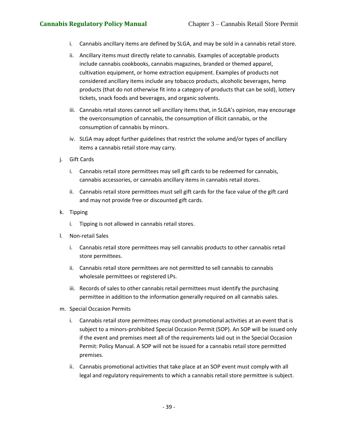- i. Cannabis ancillary items are defined by SLGA, and may be sold in a cannabis retail store.
- ii. Ancillary items must directly relate to cannabis. Examples of acceptable products include cannabis cookbooks, cannabis magazines, branded or themed apparel, cultivation equipment, or home extraction equipment. Examples of products not considered ancillary items include any tobacco products, alcoholic beverages, hemp products (that do not otherwise fit into a category of products that can be sold), lottery tickets, snack foods and beverages, and organic solvents.
- iii. Cannabis retail stores cannot sell ancillary items that, in SLGA's opinion, may encourage the overconsumption of cannabis, the consumption of illicit cannabis, or the consumption of cannabis by minors.
- iv. SLGA may adopt further guidelines that restrict the volume and/or types of ancillary items a cannabis retail store may carry.
- j. Gift Cards
	- i. Cannabis retail store permittees may sell gift cards to be redeemed for cannabis, cannabis accessories, or cannabis ancillary items in cannabis retail stores.
	- ii. Cannabis retail store permittees must sell gift cards for the face value of the gift card and may not provide free or discounted gift cards.
- k. Tipping
	- i. Tipping is not allowed in cannabis retail stores.
- l. Non-retail Sales
	- i. Cannabis retail store permittees may sell cannabis products to other cannabis retail store permittees.
	- ii. Cannabis retail store permittees are not permitted to sell cannabis to cannabis wholesale permittees or registered LPs.
	- iii. Records of sales to other cannabis retail permittees must identify the purchasing permittee in addition to the information generally required on all cannabis sales.
- m. Special Occasion Permits
	- i. Cannabis retail store permittees may conduct promotional activities at an event that is subject to a minors-prohibited Special Occasion Permit (SOP). An SOP will be issued only if the event and premises meet all of the requirements laid out in the Special Occasion Permit: Policy Manual. A SOP will not be issued for a cannabis retail store permitted premises.
	- ii. Cannabis promotional activities that take place at an SOP event must comply with all legal and regulatory requirements to which a cannabis retail store permittee is subject.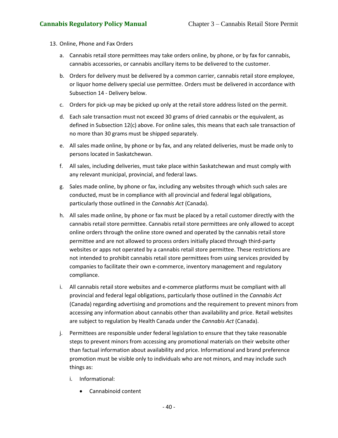- 13. Online, Phone and Fax Orders
	- a. Cannabis retail store permittees may take orders online, by phone, or by fax for cannabis, cannabis accessories, or cannabis ancillary items to be delivered to the customer.
	- b. Orders for delivery must be delivered by a common carrier, cannabis retail store employee, or liquor home delivery special use permittee. Orders must be delivered in accordance with Subsection 14 - Delivery below.
	- c. Orders for pick-up may be picked up only at the retail store address listed on the permit.
	- d. Each sale transaction must not exceed 30 grams of dried cannabis or the equivalent, as defined in Subsection 12(c) above. For online sales, this means that each sale transaction of no more than 30 grams must be shipped separately.
	- e. All sales made online, by phone or by fax, and any related deliveries, must be made only to persons located in Saskatchewan.
	- f. All sales, including deliveries, must take place within Saskatchewan and must comply with any relevant municipal, provincial, and federal laws.
	- g. Sales made online, by phone or fax, including any websites through which such sales are conducted, must be in compliance with all provincial and federal legal obligations, particularly those outlined in the *Cannabis Act* (Canada).
	- h. All sales made online, by phone or fax must be placed by a retail customer directly with the cannabis retail store permittee. Cannabis retail store permittees are only allowed to accept online orders through the online store owned and operated by the cannabis retail store permittee and are not allowed to process orders initially placed through third-party websites or apps not operated by a cannabis retail store permittee. These restrictions are not intended to prohibit cannabis retail store permittees from using services provided by companies to facilitate their own e-commerce, inventory management and regulatory compliance.
	- i. All cannabis retail store websites and e-commerce platforms must be compliant with all provincial and federal legal obligations, particularly those outlined in the *Cannabis Act* (Canada) regarding advertising and promotions and the requirement to prevent minors from accessing any information about cannabis other than availability and price. Retail websites are subject to regulation by Health Canada under the *Cannabis Act* (Canada).
	- j. Permittees are responsible under federal legislation to ensure that they take reasonable steps to prevent minors from accessing any promotional materials on their website other than factual information about availability and price. Informational and brand preference promotion must be visible only to individuals who are not minors, and may include such things as:
		- i. Informational:
			- Cannabinoid content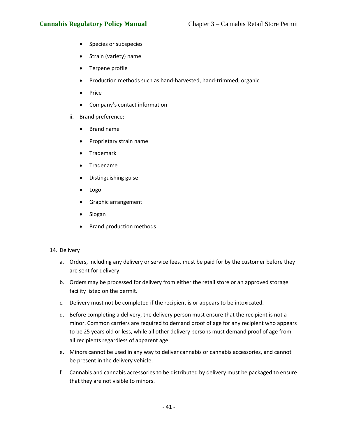- Species or subspecies
- Strain (variety) name
- Terpene profile
- Production methods such as hand-harvested, hand-trimmed, organic
- Price
- Company's contact information
- ii. Brand preference:
	- Brand name
	- Proprietary strain name
	- Trademark
	- Tradename
	- Distinguishing guise
	- Logo
	- Graphic arrangement
	- Slogan
	- Brand production methods

## 14. Delivery

- a. Orders, including any delivery or service fees, must be paid for by the customer before they are sent for delivery.
- b. Orders may be processed for delivery from either the retail store or an approved storage facility listed on the permit.
- c. Delivery must not be completed if the recipient is or appears to be intoxicated.
- d. Before completing a delivery, the delivery person must ensure that the recipient is not a minor. Common carriers are required to demand proof of age for any recipient who appears to be 25 years old or less, while all other delivery persons must demand proof of age from all recipients regardless of apparent age.
- e. Minors cannot be used in any way to deliver cannabis or cannabis accessories, and cannot be present in the delivery vehicle.
- f. Cannabis and cannabis accessories to be distributed by delivery must be packaged to ensure that they are not visible to minors.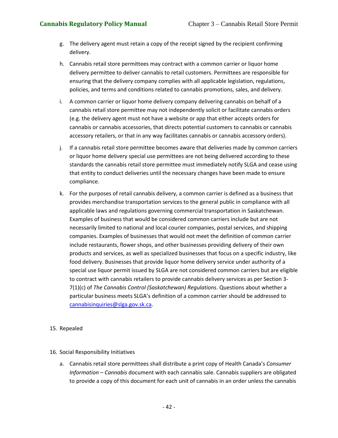- g. The delivery agent must retain a copy of the receipt signed by the recipient confirming delivery.
- h. Cannabis retail store permittees may contract with a common carrier or liquor home delivery permittee to deliver cannabis to retail customers. Permittees are responsible for ensuring that the delivery company complies with all applicable legislation, regulations, policies, and terms and conditions related to cannabis promotions, sales, and delivery.
- i. A common carrier or liquor home delivery company delivering cannabis on behalf of a cannabis retail store permittee may not independently solicit or facilitate cannabis orders (e.g. the delivery agent must not have a website or app that either accepts orders for cannabis or cannabis accessories, that directs potential customers to cannabis or cannabis accessory retailers, or that in any way facilitates cannabis or cannabis accessory orders).
- j. If a cannabis retail store permittee becomes aware that deliveries made by common carriers or liquor home delivery special use permittees are not being delivered according to these standards the cannabis retail store permittee must immediately notify SLGA and cease using that entity to conduct deliveries until the necessary changes have been made to ensure compliance.
- k. For the purposes of retail cannabis delivery, a common carrier is defined as a business that provides merchandise transportation services to the general public in compliance with all applicable laws and regulations governing commercial transportation in Saskatchewan. Examples of business that would be considered common carriers include but are not necessarily limited to national and local courier companies, postal services, and shipping companies. Examples of businesses that would not meet the definition of common carrier include restaurants, flower shops, and other businesses providing delivery of their own products and services, as well as specialized businesses that focus on a specific industry, like food delivery. Businesses that provide liquor home delivery service under authority of a special use liquor permit issued by SLGA are not considered common carriers but are eligible to contract with cannabis retailers to provide cannabis delivery services as per Section 3- 7(1)(c) of *The Cannabis Control (Saskatchewan) Regulations*. Questions about whether a particular business meets SLGA's definition of a common carrier should be addressed to [cannabisinquiries@slga.gov.sk.ca.](mailto:cannabisinquiries@slga.gov.sk.ca)

## 15. Repealed

## 16. Social Responsibility Initiatives

a. Cannabis retail store permittees shall distribute a print copy of Health Canada's *Consumer Information – Cannabis* document with each cannabis sale. Cannabis suppliers are obligated to provide a copy of this document for each unit of cannabis in an order unless the cannabis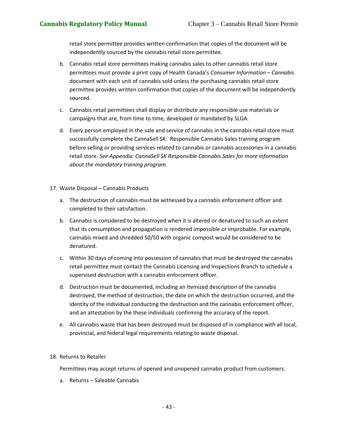retail store permittee provides written confirmation that copies of the document will be independently sourced by the cannabis retail store permittee.

- b. Cannabis retail store permittees making cannabis sales to other cannabis retail store permittees must provide a print copy of Health Canada's *Consumer Information – Cannabis*  document with each unit of cannabis sold unless the purchasing cannabis retail store permittee provides written confirmation that copies of the document will be independently sourced.
- c. Cannabis retail permittees shall display or distribute any responsible use materials or campaigns that are, from time to time, developed or mandated by SLGA.
- d. Every person employed in the sale and service of cannabis in the cannabis retail store must successfully complete the CannaSell SK: Responsible Cannabis Sales training program before selling or providing services related to cannabis or cannabis accessories in a cannabis retail store. *See Appendix: CannaSell SK Responsible Cannabis Sales for more information about the mandatory training program.*
- 17. Waste Disposal Cannabis Products
	- a. The destruction of cannabis must be witnessed by a cannabis enforcement officer and completed to their satisfaction.
	- b. Cannabis is considered to be destroyed when it is altered or denatured to such an extent that its consumption and propagation is rendered impossible or improbable. For example, cannabis mixed and shredded 50/50 with organic compost would be considered to be denatured.
	- c. Within 30 days of coming into possession of cannabis that must be destroyed the cannabis retail permittee must contact the Cannabis Licensing and Inspections Branch to schedule a supervised destruction with a cannabis enforcement officer.
	- d. Destruction must be documented, including an itemized description of the cannabis destroyed, the method of destruction, the date on which the destruction occurred, and the identity of the individual conducting the destruction and the cannabis enforcement officer, and an attestation by the these individuals confirming the accuracy of the report.
	- e. All cannabis waste that has been destroyed must be disposed of in compliance with all local, provincial, and federal legal requirements relating to waste disposal.

## 18. Returns to Retailer

Permittees may accept returns of opened and unopened cannabis product from customers.

a. Returns – Saleable Cannabis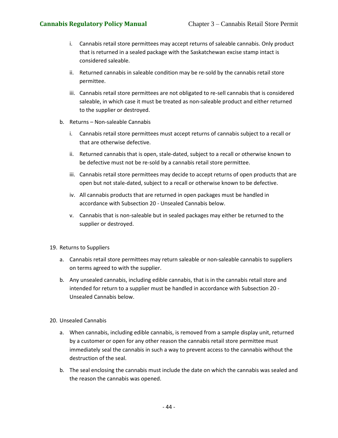- i. Cannabis retail store permittees may accept returns of saleable cannabis. Only product that is returned in a sealed package with the Saskatchewan excise stamp intact is considered saleable.
- ii. Returned cannabis in saleable condition may be re-sold by the cannabis retail store permittee.
- iii. Cannabis retail store permittees are not obligated to re-sell cannabis that is considered saleable, in which case it must be treated as non-saleable product and either returned to the supplier or destroyed.
- b. Returns Non-saleable Cannabis
	- i. Cannabis retail store permittees must accept returns of cannabis subject to a recall or that are otherwise defective.
	- ii. Returned cannabis that is open, stale-dated, subject to a recall or otherwise known to be defective must not be re-sold by a cannabis retail store permittee.
	- iii. Cannabis retail store permittees may decide to accept returns of open products that are open but not stale-dated, subject to a recall or otherwise known to be defective.
	- iv. All cannabis products that are returned in open packages must be handled in accordance with Subsection 20 - Unsealed Cannabis below.
	- v. Cannabis that is non-saleable but in sealed packages may either be returned to the supplier or destroyed.
- 19. Returns to Suppliers
	- a. Cannabis retail store permittees may return saleable or non-saleable cannabis to suppliers on terms agreed to with the supplier.
	- b. Any unsealed cannabis, including edible cannabis, that is in the cannabis retail store and intended for return to a supplier must be handled in accordance with Subsection 20 - Unsealed Cannabis below.
- 20. Unsealed Cannabis
	- a. When cannabis, including edible cannabis, is removed from a sample display unit, returned by a customer or open for any other reason the cannabis retail store permittee must immediately seal the cannabis in such a way to prevent access to the cannabis without the destruction of the seal.
	- b. The seal enclosing the cannabis must include the date on which the cannabis was sealed and the reason the cannabis was opened.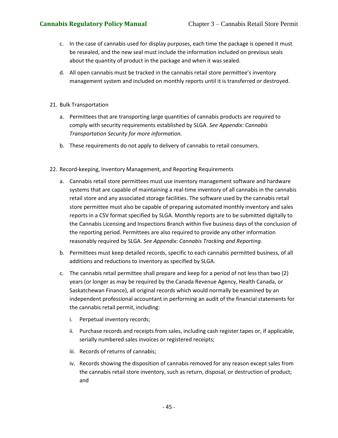- c. In the case of cannabis used for display purposes, each time the package is opened it must be resealed, and the new seal must include the information included on previous seals about the quantity of product in the package and when it was sealed.
- d. All open cannabis must be tracked in the cannabis retail store permittee's inventory management system and included on monthly reports until it is transferred or destroyed.
- 21. Bulk Transportation
	- a. Permittees that are transporting large quantities of cannabis products are required to comply with security requirements established by SLGA. *See Appendix: Cannabis Transportation Security for more information.*
	- b. These requirements do not apply to delivery of cannabis to retail consumers.
- 22. Record-keeping, Inventory Management, and Reporting Requirements
	- a. Cannabis retail store permittees must use inventory management software and hardware systems that are capable of maintaining a real-time inventory of all cannabis in the cannabis retail store and any associated storage facilities. The software used by the cannabis retail store permittee must also be capable of preparing automated monthly inventory and sales reports in a CSV format specified by SLGA. Monthly reports are to be submitted digitally to the Cannabis Licensing and Inspections Branch within five business days of the conclusion of the reporting period. Permittees are also required to provide any other information reasonably required by SLGA. *See Appendix: Cannabis Tracking and Reporting.*
	- b. Permittees must keep detailed records, specific to each cannabis permitted business, of all additions and reductions to inventory as specified by SLGA.
	- c. The cannabis retail permittee shall prepare and keep for a period of not less than two (2) years (or longer as may be required by the Canada Revenue Agency, Health Canada, or Saskatchewan Finance), all original records which would normally be examined by an independent professional accountant in performing an audit of the financial statements for the cannabis retail permit, including:
		- i. Perpetual inventory records;
		- ii. Purchase records and receipts from sales, including cash register tapes or, if applicable, serially numbered sales invoices or registered receipts;
		- iii. Records of returns of cannabis;
		- iv. Records showing the disposition of cannabis removed for any reason except sales from the cannabis retail store inventory, such as return, disposal, or destruction of product; and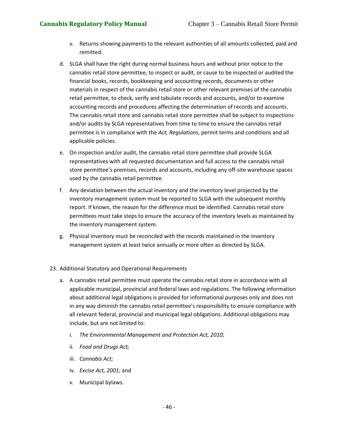- v. Returns showing payments to the relevant authorities of all amounts collected, paid and remitted.
- d. SLGA shall have the right during normal business hours and without prior notice to the cannabis retail store permittee, to inspect or audit, or cause to be inspected or audited the financial books, records, bookkeeping and accounting records, documents or other materials in respect of the cannabis retail store or other relevant premises of the cannabis retail permittee, to check, verify and tabulate records and accounts, and/or to examine accounting records and procedures affecting the determination of records and accounts. The cannabis retail store and cannabis retail store permittee shall be subject to inspections and/or audits by SLGA representatives from time to time to ensure the cannabis retail permittee is in compliance with the *Act, Regulations*, permit terms and conditions and all applicable policies.
- e. On inspection and/or audit, the cannabis retail store permittee shall provide SLGA representatives with all requested documentation and full access to the cannabis retail store permittee's premises, records and accounts, including any off-site warehouse spaces used by the cannabis retail permittee.
- f. Any deviation between the actual inventory and the inventory level projected by the inventory management system must be reported to SLGA with the subsequent monthly report. If known, the reason for the difference must be identified. Cannabis retail store permittees must take steps to ensure the accuracy of the inventory levels as maintained by the inventory management system.
- g. Physical inventory must be reconciled with the records maintained in the inventory management system at least twice annually or more often as directed by SLGA.

## 23. Additional Statutory and Operational Requirements

- a. A cannabis retail permittee must operate the cannabis retail store in accordance with all applicable municipal, provincial and federal laws and regulations. The following information about additional legal obligations is provided for informational purposes only and does not in any way diminish the cannabis retail permittee's responsibility to ensure compliance with all relevant federal, provincial and municipal legal obligations. Additional obligations may include, but are not limited to:
	- i. *The Environmental Management and Protection Act, 2010;*
	- ii. *Food and Drugs Act;*
	- iii. *Cannabis Act;*
	- iv. *Excise Act, 2001;* and
	- v. Municipal bylaws.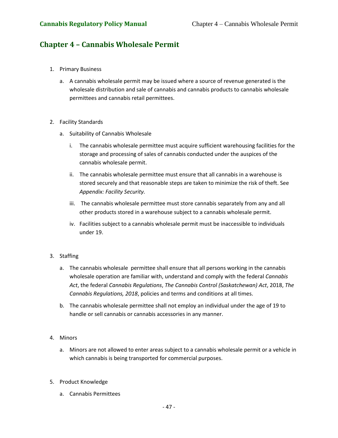# **Chapter 4 – Cannabis Wholesale Permit**

- 1. Primary Business
	- a. A cannabis wholesale permit may be issued where a source of revenue generated is the wholesale distribution and sale of cannabis and cannabis products to cannabis wholesale permittees and cannabis retail permittees.
- 2. Facility Standards
	- a. Suitability of Cannabis Wholesale
		- i. The cannabis wholesale permittee must acquire sufficient warehousing facilities for the storage and processing of sales of cannabis conducted under the auspices of the cannabis wholesale permit.
		- ii. The cannabis wholesale permittee must ensure that all cannabis in a warehouse is stored securely and that reasonable steps are taken to minimize the risk of theft. See *Appendix: Facility Security.*
		- iii. The cannabis wholesale permittee must store cannabis separately from any and all other products stored in a warehouse subject to a cannabis wholesale permit.
		- iv. Facilities subject to a cannabis wholesale permit must be inaccessible to individuals under 19.

## 3. Staffing

- a. The cannabis wholesale permittee shall ensure that all persons working in the cannabis wholesale operation are familiar with, understand and comply with the federal *Cannabis Act*, the federal *Cannabis Regulations*, *The Cannabis Control (Saskatchewan) Act*, 2018, *The Cannabis Regulations, 2018*, policies and terms and conditions at all times.
- b. The cannabis wholesale permittee shall not employ an individual under the age of 19 to handle or sell cannabis or cannabis accessories in any manner.

## 4. Minors

- a. Minors are not allowed to enter areas subject to a cannabis wholesale permit or a vehicle in which cannabis is being transported for commercial purposes.
- 5. Product Knowledge
	- a. Cannabis Permittees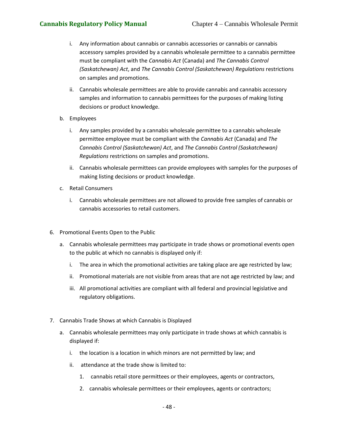- i. Any information about cannabis or cannabis accessories or cannabis or cannabis accessory samples provided by a cannabis wholesale permittee to a cannabis permittee must be compliant with the *Cannabis Act* (Canada) and *The Cannabis Control (Saskatchewan) Act*, and *The Cannabis Control (Saskatchewan) Regulations* restrictions on samples and promotions.
- ii. Cannabis wholesale permittees are able to provide cannabis and cannabis accessory samples and information to cannabis permittees for the purposes of making listing decisions or product knowledge.
- b. Employees
	- i. Any samples provided by a cannabis wholesale permittee to a cannabis wholesale permittee employee must be compliant with the *Cannabis Act* (Canada) and *The Cannabis Control (Saskatchewan) Act*, and *The Cannabis Control (Saskatchewan) Regulations* restrictions on samples and promotions.
	- ii. Cannabis wholesale permittees can provide employees with samples for the purposes of making listing decisions or product knowledge.
- c. Retail Consumers
	- i. Cannabis wholesale permittees are not allowed to provide free samples of cannabis or cannabis accessories to retail customers.
- 6. Promotional Events Open to the Public
	- a. Cannabis wholesale permittees may participate in trade shows or promotional events open to the public at which no cannabis is displayed only if:
		- i. The area in which the promotional activities are taking place are age restricted by law;
		- ii. Promotional materials are not visible from areas that are not age restricted by law; and
		- iii. All promotional activities are compliant with all federal and provincial legislative and regulatory obligations.
- 7. Cannabis Trade Shows at which Cannabis is Displayed
	- a. Cannabis wholesale permittees may only participate in trade shows at which cannabis is displayed if:
		- i. the location is a location in which minors are not permitted by law; and
		- ii. attendance at the trade show is limited to:
			- 1. cannabis retail store permittees or their employees, agents or contractors,
			- 2. cannabis wholesale permittees or their employees, agents or contractors;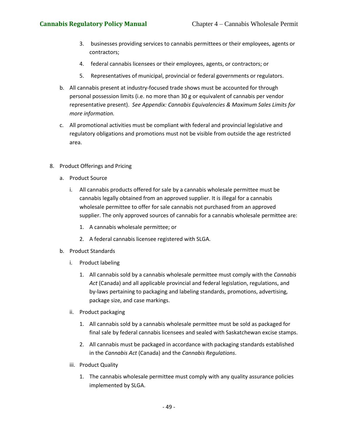- 3. businesses providing services to cannabis permittees or their employees, agents or contractors;
- 4. federal cannabis licensees or their employees, agents, or contractors; or
- 5. Representatives of municipal, provincial or federal governments or regulators.
- b. All cannabis present at industry-focused trade shows must be accounted for through personal possession limits (i.e. no more than 30 g or equivalent of cannabis per vendor representative present). *See Appendix: Cannabis Equivalencies & Maximum Sales Limits for more information.*
- c. All promotional activities must be compliant with federal and provincial legislative and regulatory obligations and promotions must not be visible from outside the age restricted area.
- 8. Product Offerings and Pricing
	- a. Product Source
		- i. All cannabis products offered for sale by a cannabis wholesale permittee must be cannabis legally obtained from an approved supplier. It is illegal for a cannabis wholesale permittee to offer for sale cannabis not purchased from an approved supplier. The only approved sources of cannabis for a cannabis wholesale permittee are:
			- 1. A cannabis wholesale permittee; or
			- 2. A federal cannabis licensee registered with SLGA.
	- b. Product Standards
		- i. Product labeling
			- 1. All cannabis sold by a cannabis wholesale permittee must comply with the *Cannabis Act* (Canada) and all applicable provincial and federal legislation, regulations, and by-laws pertaining to packaging and labeling standards, promotions, advertising, package size, and case markings.
		- ii. Product packaging
			- 1. All cannabis sold by a cannabis wholesale permittee must be sold as packaged for final sale by federal cannabis licensees and sealed with Saskatchewan excise stamps.
			- 2. All cannabis must be packaged in accordance with packaging standards established in the *Cannabis Act* (Canada) and the *Cannabis Regulations*.
		- iii. Product Quality
			- 1. The cannabis wholesale permittee must comply with any quality assurance policies implemented by SLGA.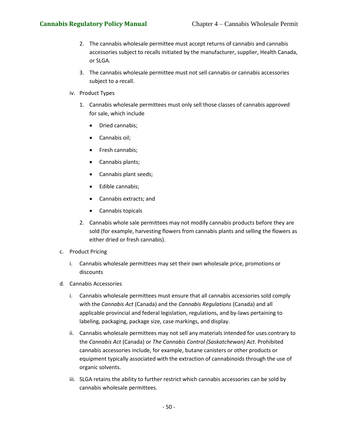- 2. The cannabis wholesale permittee must accept returns of cannabis and cannabis accessories subject to recalls initiated by the manufacturer, supplier, Health Canada, or SLGA.
- 3. The cannabis wholesale permittee must not sell cannabis or cannabis accessories subject to a recall.
- iv. Product Types
	- 1. Cannabis wholesale permittees must only sell those classes of cannabis approved for sale, which include
		- Dried cannabis;
		- Cannabis oil;
		- Fresh cannabis;
		- Cannabis plants;
		- Cannabis plant seeds;
		- Edible cannabis;
		- Cannabis extracts; and
		- Cannabis topicals
	- 2. Cannabis whole sale permittees may not modify cannabis products before they are sold (for example, harvesting flowers from cannabis plants and selling the flowers as either dried or fresh cannabis).
- c. Product Pricing
	- i. Cannabis wholesale permittees may set their own wholesale price, promotions or discounts
- d. Cannabis Accessories
	- i. Cannabis wholesale permittees must ensure that all cannabis accessories sold comply with the *Cannabis Act* (Canada) and the *Cannabis Regulations* (Canada) and all applicable provincial and federal legislation, regulations, and by-laws pertaining to labeling, packaging, package size, case markings, and display.
	- ii. Cannabis wholesale permittees may not sell any materials intended for uses contrary to the *Cannabis Act* (Canada) or *The Cannabis Control (Saskatchewan) Act*. Prohibited cannabis accessories include, for example, butane canisters or other products or equipment typically associated with the extraction of cannabinoids through the use of organic solvents.
	- iii. SLGA retains the ability to further restrict which cannabis accessories can be sold by cannabis wholesale permittees.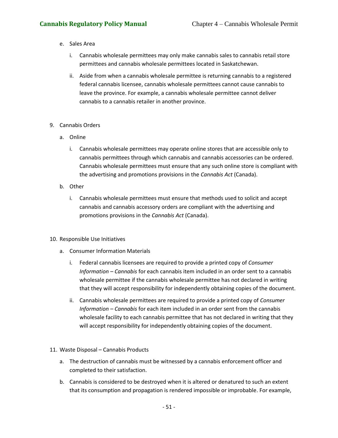- e. Sales Area
	- i. Cannabis wholesale permittees may only make cannabis sales to cannabis retail store permittees and cannabis wholesale permittees located in Saskatchewan.
	- ii. Aside from when a cannabis wholesale permittee is returning cannabis to a registered federal cannabis licensee, cannabis wholesale permittees cannot cause cannabis to leave the province. For example, a cannabis wholesale permittee cannot deliver cannabis to a cannabis retailer in another province.
- 9. Cannabis Orders
	- a. Online
		- i. Cannabis wholesale permittees may operate online stores that are accessible only to cannabis permittees through which cannabis and cannabis accessories can be ordered. Cannabis wholesale permittees must ensure that any such online store is compliant with the advertising and promotions provisions in the *Cannabis Act* (Canada).
	- b. Other
		- i. Cannabis wholesale permittees must ensure that methods used to solicit and accept cannabis and cannabis accessory orders are compliant with the advertising and promotions provisions in the *Cannabis Act* (Canada).
- 10. Responsible Use Initiatives
	- a. Consumer Information Materials
		- i. Federal cannabis licensees are required to provide a printed copy of *Consumer Information – Cannabis* for each cannabis item included in an order sent to a cannabis wholesale permittee if the cannabis wholesale permittee has not declared in writing that they will accept responsibility for independently obtaining copies of the document.
		- ii. Cannabis wholesale permittees are required to provide a printed copy of *Consumer Information – Cannabis* for each item included in an order sent from the cannabis wholesale facility to each cannabis permittee that has not declared in writing that they will accept responsibility for independently obtaining copies of the document.
- 11. Waste Disposal Cannabis Products
	- a. The destruction of cannabis must be witnessed by a cannabis enforcement officer and completed to their satisfaction.
	- b. Cannabis is considered to be destroyed when it is altered or denatured to such an extent that its consumption and propagation is rendered impossible or improbable. For example,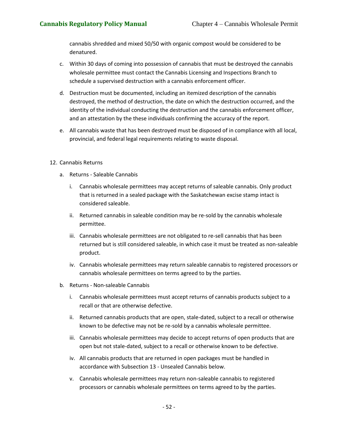cannabis shredded and mixed 50/50 with organic compost would be considered to be denatured.

- c. Within 30 days of coming into possession of cannabis that must be destroyed the cannabis wholesale permittee must contact the Cannabis Licensing and Inspections Branch to schedule a supervised destruction with a cannabis enforcement officer.
- d. Destruction must be documented, including an itemized description of the cannabis destroyed, the method of destruction, the date on which the destruction occurred, and the identity of the individual conducting the destruction and the cannabis enforcement officer, and an attestation by the these individuals confirming the accuracy of the report.
- e. All cannabis waste that has been destroyed must be disposed of in compliance with all local, provincial, and federal legal requirements relating to waste disposal.

## 12. Cannabis Returns

- a. Returns Saleable Cannabis
	- i. Cannabis wholesale permittees may accept returns of saleable cannabis. Only product that is returned in a sealed package with the Saskatchewan excise stamp intact is considered saleable.
	- ii. Returned cannabis in saleable condition may be re-sold by the cannabis wholesale permittee.
	- iii. Cannabis wholesale permittees are not obligated to re-sell cannabis that has been returned but is still considered saleable, in which case it must be treated as non-saleable product.
	- iv. Cannabis wholesale permittees may return saleable cannabis to registered processors or cannabis wholesale permittees on terms agreed to by the parties.
- b. Returns Non-saleable Cannabis
	- i. Cannabis wholesale permittees must accept returns of cannabis products subject to a recall or that are otherwise defective.
	- ii. Returned cannabis products that are open, stale-dated, subject to a recall or otherwise known to be defective may not be re-sold by a cannabis wholesale permittee.
	- iii. Cannabis wholesale permittees may decide to accept returns of open products that are open but not stale-dated, subject to a recall or otherwise known to be defective.
	- iv. All cannabis products that are returned in open packages must be handled in accordance with Subsection 13 - Unsealed Cannabis below.
	- v. Cannabis wholesale permittees may return non-saleable cannabis to registered processors or cannabis wholesale permittees on terms agreed to by the parties.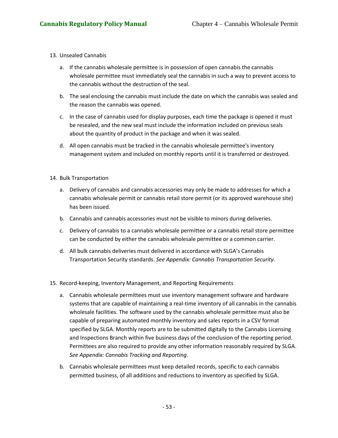- 13. Unsealed Cannabis
	- a. If the cannabis wholesale permittee is in possession of open cannabis the cannabis wholesale permittee must immediately seal the cannabis in such a way to prevent access to the cannabis without the destruction of the seal.
	- b. The seal enclosing the cannabis must include the date on which the cannabis was sealed and the reason the cannabis was opened.
	- c. In the case of cannabis used for display purposes, each time the package is opened it must be resealed, and the new seal must include the information included on previous seals about the quantity of product in the package and when it was sealed.
	- d. All open cannabis must be tracked in the cannabis wholesale permittee's inventory management system and included on monthly reports until it is transferred or destroyed.
- 14. Bulk Transportation
	- a. Delivery of cannabis and cannabis accessories may only be made to addresses for which a cannabis wholesale permit or cannabis retail store permit (or its approved warehouse site) has been issued.
	- b. Cannabis and cannabis accessories must not be visible to minors during deliveries.
	- c. Delivery of cannabis to a cannabis wholesale permittee or a cannabis retail store permittee can be conducted by either the cannabis wholesale permittee or a common carrier.
	- d. All bulk cannabis deliveries must delivered in accordance with SLGA's Cannabis Transportation Security standards. *See Appendix: Cannabis Transportation Security.*
- 15. Record-keeping, Inventory Management, and Reporting Requirements
	- a. Cannabis wholesale permittees must use inventory management software and hardware systems that are capable of maintaining a real-time inventory of all cannabis in the cannabis wholesale facilities. The software used by the cannabis wholesale permittee must also be capable of preparing automated monthly inventory and sales reports in a CSV format specified by SLGA. Monthly reports are to be submitted digitally to the Cannabis Licensing and Inspections Branch within five business days of the conclusion of the reporting period. Permittees are also required to provide any other information reasonably required by SLGA. *See Appendix: Cannabis Tracking and Reporting*.
	- b. Cannabis wholesale permittees must keep detailed records, specific to each cannabis permitted business, of all additions and reductions to inventory as specified by SLGA.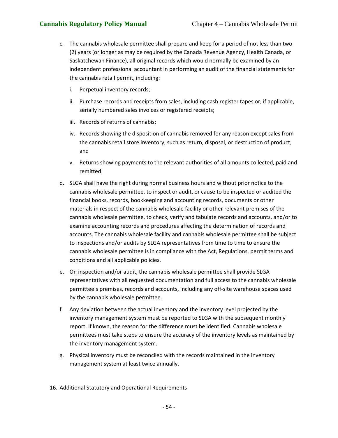- c. The cannabis wholesale permittee shall prepare and keep for a period of not less than two (2) years (or longer as may be required by the Canada Revenue Agency, Health Canada, or Saskatchewan Finance), all original records which would normally be examined by an independent professional accountant in performing an audit of the financial statements for the cannabis retail permit, including:
	- i. Perpetual inventory records;
	- ii. Purchase records and receipts from sales, including cash register tapes or, if applicable, serially numbered sales invoices or registered receipts;
	- iii. Records of returns of cannabis;
	- iv. Records showing the disposition of cannabis removed for any reason except sales from the cannabis retail store inventory, such as return, disposal, or destruction of product; and
	- v. Returns showing payments to the relevant authorities of all amounts collected, paid and remitted.
- d. SLGA shall have the right during normal business hours and without prior notice to the cannabis wholesale permittee, to inspect or audit, or cause to be inspected or audited the financial books, records, bookkeeping and accounting records, documents or other materials in respect of the cannabis wholesale facility or other relevant premises of the cannabis wholesale permittee, to check, verify and tabulate records and accounts, and/or to examine accounting records and procedures affecting the determination of records and accounts. The cannabis wholesale facility and cannabis wholesale permittee shall be subject to inspections and/or audits by SLGA representatives from time to time to ensure the cannabis wholesale permittee is in compliance with the Act, Regulations, permit terms and conditions and all applicable policies.
- e. On inspection and/or audit, the cannabis wholesale permittee shall provide SLGA representatives with all requested documentation and full access to the cannabis wholesale permittee's premises, records and accounts, including any off-site warehouse spaces used by the cannabis wholesale permittee.
- f. Any deviation between the actual inventory and the inventory level projected by the inventory management system must be reported to SLGA with the subsequent monthly report. If known, the reason for the difference must be identified. Cannabis wholesale permittees must take steps to ensure the accuracy of the inventory levels as maintained by the inventory management system.
- g. Physical inventory must be reconciled with the records maintained in the inventory management system at least twice annually.
- 16. Additional Statutory and Operational Requirements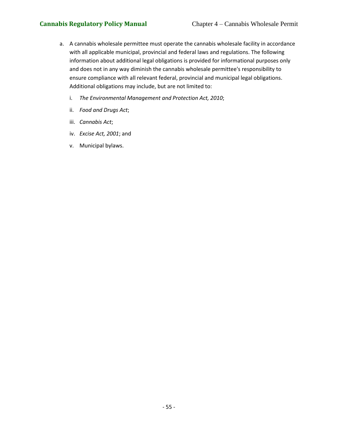- a. A cannabis wholesale permittee must operate the cannabis wholesale facility in accordance with all applicable municipal, provincial and federal laws and regulations. The following information about additional legal obligations is provided for informational purposes only and does not in any way diminish the cannabis wholesale permittee's responsibility to ensure compliance with all relevant federal, provincial and municipal legal obligations. Additional obligations may include, but are not limited to:
	- i. *The Environmental Management and Protection Act, 2010*;
	- ii. *Food and Drugs Act*;
	- iii. *Cannabis Act*;
	- iv. *Excise Act, 2001*; and
	- v. Municipal bylaws.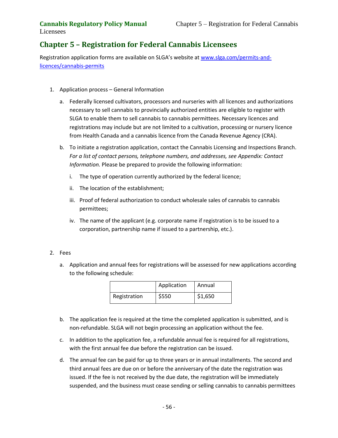# **Chapter 5 – Registration for Federal Cannabis Licensees**

Registration application forms are available on SLGA's website at [www.slga.com/permits-and](http://www.slga.com/permits-and-licences/cannabis-permits)[licences/cannabis-permits](http://www.slga.com/permits-and-licences/cannabis-permits)

- 1. Application process General Information
	- a. Federally licensed cultivators, processors and nurseries with all licences and authorizations necessary to sell cannabis to provincially authorized entities are eligible to register with SLGA to enable them to sell cannabis to cannabis permittees. Necessary licences and registrations may include but are not limited to a cultivation, processing or nursery licence from Health Canada and a cannabis licence from the Canada Revenue Agency (CRA).
	- b. To initiate a registration application, contact the Cannabis Licensing and Inspections Branch. *For a list of contact persons, telephone numbers, and addresses, see Appendix: Contact Information.* Please be prepared to provide the following information:
		- i. The type of operation currently authorized by the federal licence;
		- ii. The location of the establishment;
		- iii. Proof of federal authorization to conduct wholesale sales of cannabis to cannabis permittees;
		- iv. The name of the applicant (e.g. corporate name if registration is to be issued to a corporation, partnership name if issued to a partnership, etc.).

## 2. Fees

a. Application and annual fees for registrations will be assessed for new applications according to the following schedule:

|              | Application | Annual  |
|--------------|-------------|---------|
| Registration | \$550       | \$1,650 |

- b. The application fee is required at the time the completed application is submitted, and is non-refundable. SLGA will not begin processing an application without the fee.
- c. In addition to the application fee, a refundable annual fee is required for all registrations, with the first annual fee due before the registration can be issued.
- d. The annual fee can be paid for up to three years or in annual installments. The second and third annual fees are due on or before the anniversary of the date the registration was issued. If the fee is not received by the due date, the registration will be immediately suspended, and the business must cease sending or selling cannabis to cannabis permittees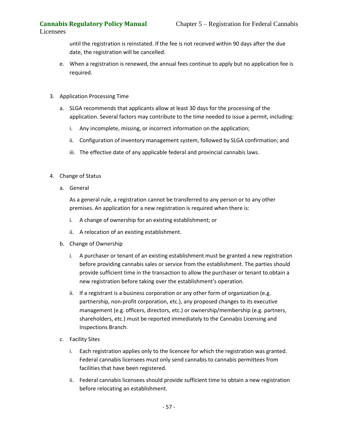until the registration is reinstated. If the fee is not received within 90 days after the due date, the registration will be cancelled.

- e. When a registration is renewed, the annual fees continue to apply but no application fee is required.
- 3. Application Processing Time
	- a. SLGA recommends that applicants allow at least 30 days for the processing of the application. Several factors may contribute to the time needed to issue a permit, including:
		- i. Any incomplete, missing, or incorrect information on the application;
		- ii. Configuration of inventory management system, followed by SLGA confirmation; and
		- iii. The effective date of any applicable federal and provincial cannabis laws.
- 4. Change of Status
	- a. General

As a general rule, a registration cannot be transferred to any person or to any other premises. An application for a new registration is required when there is:

- i. A change of ownership for an existing establishment; or
- ii. A relocation of an existing establishment.
- b. Change of Ownership
	- i. A purchaser or tenant of an existing establishment must be granted a new registration before providing cannabis sales or service from the establishment. The parties should provide sufficient time in the transaction to allow the purchaser or tenant to obtain a new registration before taking over the establishment's operation.
	- ii. If a registrant is a business corporation or any other form of organization (e.g. partnership, non-profit corporation, etc.), any proposed changes to its executive management (e.g. officers, directors, etc.) or ownership/membership (e.g. partners, shareholders, etc.) must be reported immediately to the Cannabis Licensing and Inspections Branch.
- c. Facility Sites
	- i. Each registration applies only to the licencee for which the registration was granted. Federal cannabis licensees must only send cannabis to cannabis permittees from facilities that have been registered.
	- ii. Federal cannabis licensees should provide sufficient time to obtain a new registration before relocating an establishment.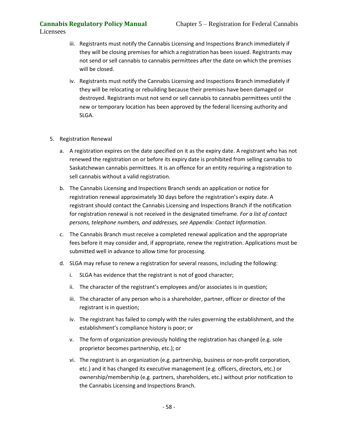- iii. Registrants must notify the Cannabis Licensing and Inspections Branch immediately if they will be closing premises for which a registration has been issued. Registrants may not send or sell cannabis to cannabis permittees after the date on which the premises will be closed.
- iv. Registrants must notify the Cannabis Licensing and Inspections Branch immediately if they will be relocating or rebuilding because their premises have been damaged or destroyed. Registrants must not send or sell cannabis to cannabis permittees until the new or temporary location has been approved by the federal licensing authority and SLGA.
- 5. Registration Renewal
	- a. A registration expires on the date specified on it as the expiry date. A registrant who has not renewed the registration on or before its expiry date is prohibited from selling cannabis to Saskatchewan cannabis permittees. It is an offence for an entity requiring a registration to sell cannabis without a valid registration.
	- b. The Cannabis Licensing and Inspections Branch sends an application or notice for registration renewal approximately 30 days before the registration's expiry date. A registrant should contact the Cannabis Licensing and Inspections Branch if the notification for registration renewal is not received in the designated timeframe. *For a list of contact persons, telephone numbers, and addresses, see Appendix: Contact Information*.
	- c. The Cannabis Branch must receive a completed renewal application and the appropriate fees before it may consider and, if appropriate, renew the registration. Applications must be submitted well in advance to allow time for processing.
	- d. SLGA may refuse to renew a registration for several reasons, including the following:
		- i. SLGA has evidence that the registrant is not of good character;
		- ii. The character of the registrant's employees and/or associates is in question;
		- iii. The character of any person who is a shareholder, partner, officer or director of the registrant is in question;
		- iv. The registrant has failed to comply with the rules governing the establishment, and the establishment's compliance history is poor; or
		- v. The form of organization previously holding the registration has changed (e.g. sole proprietor becomes partnership, etc.); or
		- vi. The registrant is an organization (e.g. partnership, business or non-profit corporation, etc.) and it has changed its executive management (e.g. officers, directors, etc.) or ownership/membership (e.g. partners, shareholders, etc.) without prior notification to the Cannabis Licensing and Inspections Branch.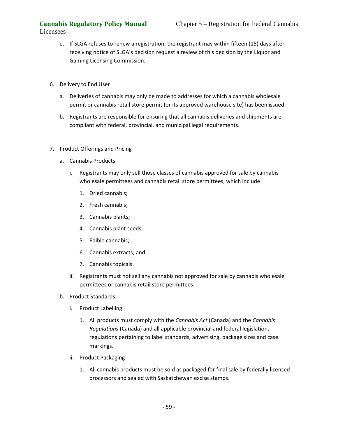- e. If SLGA refuses to renew a registration, the registrant may within fifteen (15) days after receiving notice of SLGA's decision request a review of this decision by the Liquor and Gaming Licensing Commission.
- 6. Delivery to End User
	- a. Deliveries of cannabis may only be made to addresses for which a cannabis wholesale permit or cannabis retail store permit (or its approved warehouse site) has been issued.
	- b. Registrants are responsible for ensuring that all cannabis deliveries and shipments are compliant with federal, provincial, and municipal legal requirements.
- 7. Product Offerings and Pricing
	- a. Cannabis Products
		- i. Registrants may only sell those classes of cannabis approved for sale by cannabis wholesale permittees and cannabis retail store permittees, which include:
			- 1. Dried cannabis;
			- 2. Fresh cannabis;
			- 3. Cannabis plants;
			- 4. Cannabis plant seeds;
			- 5. Edible cannabis;
			- 6. Cannabis extracts; and
			- 7. Cannabis topicals.
		- ii. Registrants must not sell any cannabis not approved for sale by cannabis wholesale permittees or cannabis retail store permittees.
	- b. Product Standards
		- i. Product Labelling
			- 1. All products must comply with the *Cannabis Act* (Canada) and the *Cannabis Regulations* (Canada) and all applicable provincial and federal legislation, regulations pertaining to label standards, advertising, package sizes and case markings.
		- ii. Product Packaging
			- 1. All cannabis products must be sold as packaged for final sale by federally licensed processors and sealed with Saskatchewan excise stamps.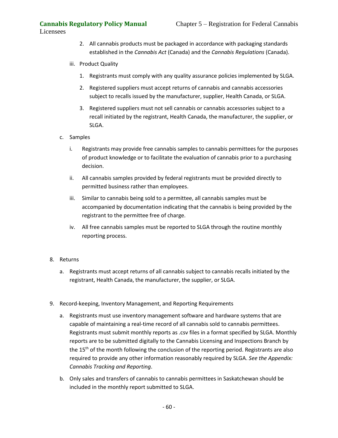- 2. All cannabis products must be packaged in accordance with packaging standards established in the *Cannabis Act* (Canada) and the *Cannabis Regulations* (Canada).
- iii. Product Quality
	- 1. Registrants must comply with any quality assurance policies implemented by SLGA.
	- 2. Registered suppliers must accept returns of cannabis and cannabis accessories subject to recalls issued by the manufacturer, supplier, Health Canada, or SLGA.
	- 3. Registered suppliers must not sell cannabis or cannabis accessories subject to a recall initiated by the registrant, Health Canada, the manufacturer, the supplier, or SLGA.
- c. Samples
	- i. Registrants may provide free cannabis samples to cannabis permittees for the purposes of product knowledge or to facilitate the evaluation of cannabis prior to a purchasing decision.
	- ii. All cannabis samples provided by federal registrants must be provided directly to permitted business rather than employees.
	- iii. Similar to cannabis being sold to a permittee, all cannabis samples must be accompanied by documentation indicating that the cannabis is being provided by the registrant to the permittee free of charge.
	- iv. All free cannabis samples must be reported to SLGA through the routine monthly reporting process.

## 8. Returns

- a. Registrants must accept returns of all cannabis subject to cannabis recalls initiated by the registrant, Health Canada, the manufacturer, the supplier, or SLGA.
- 9. Record-keeping, Inventory Management, and Reporting Requirements
	- a. Registrants must use inventory management software and hardware systems that are capable of maintaining a real-time record of all cannabis sold to cannabis permittees. Registrants must submit monthly reports as .csv files in a format specified by SLGA. Monthly reports are to be submitted digitally to the Cannabis Licensing and Inspections Branch by the 15<sup>th</sup> of the month following the conclusion of the reporting period. Registrants are also required to provide any other information reasonably required by SLGA. *See the Appendix: Cannabis Tracking and Reporting*.
	- b. Only sales and transfers of cannabis to cannabis permittees in Saskatchewan should be included in the monthly report submitted to SLGA.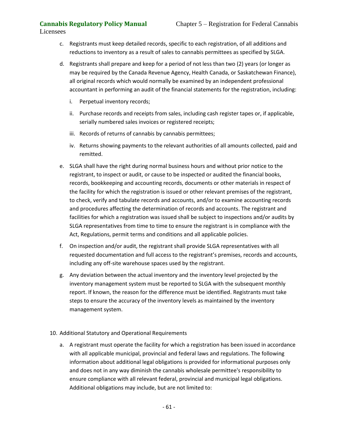- c. Registrants must keep detailed records, specific to each registration, of all additions and reductions to inventory as a result of sales to cannabis permittees as specified by SLGA.
- d. Registrants shall prepare and keep for a period of not less than two (2) years (or longer as may be required by the Canada Revenue Agency, Health Canada, or Saskatchewan Finance), all original records which would normally be examined by an independent professional accountant in performing an audit of the financial statements for the registration, including:
	- i. Perpetual inventory records;
	- ii. Purchase records and receipts from sales, including cash register tapes or, if applicable, serially numbered sales invoices or registered receipts;
	- iii. Records of returns of cannabis by cannabis permittees;
	- iv. Returns showing payments to the relevant authorities of all amounts collected, paid and remitted.
- e. SLGA shall have the right during normal business hours and without prior notice to the registrant, to inspect or audit, or cause to be inspected or audited the financial books, records, bookkeeping and accounting records, documents or other materials in respect of the facility for which the registration is issued or other relevant premises of the registrant, to check, verify and tabulate records and accounts, and/or to examine accounting records and procedures affecting the determination of records and accounts. The registrant and facilities for which a registration was issued shall be subject to inspections and/or audits by SLGA representatives from time to time to ensure the registrant is in compliance with the Act, Regulations, permit terms and conditions and all applicable policies.
- f. On inspection and/or audit, the registrant shall provide SLGA representatives with all requested documentation and full access to the registrant's premises, records and accounts, including any off-site warehouse spaces used by the registrant.
- g. Any deviation between the actual inventory and the inventory level projected by the inventory management system must be reported to SLGA with the subsequent monthly report. If known, the reason for the difference must be identified. Registrants must take steps to ensure the accuracy of the inventory levels as maintained by the inventory management system.
- 10. Additional Statutory and Operational Requirements
	- a. A registrant must operate the facility for which a registration has been issued in accordance with all applicable municipal, provincial and federal laws and regulations. The following information about additional legal obligations is provided for informational purposes only and does not in any way diminish the cannabis wholesale permittee's responsibility to ensure compliance with all relevant federal, provincial and municipal legal obligations. Additional obligations may include, but are not limited to: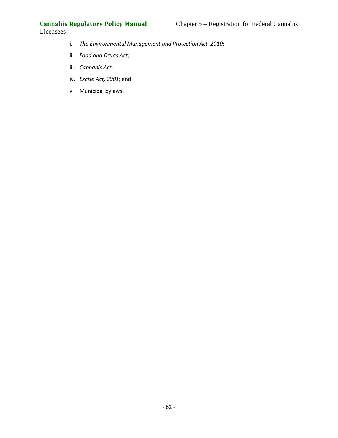- i. *The Environmental Management and Protection Act, 2010*;
- ii. *Food and Drugs Act*;
- iii. *Cannabis Act*;
- iv. *Excise Act, 2001*; and
- v. Municipal bylaws.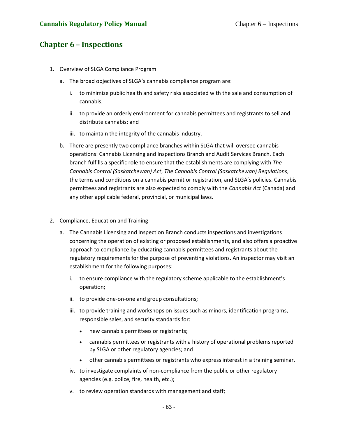# **Chapter 6 – Inspections**

- 1. Overview of SLGA Compliance Program
	- a. The broad objectives of SLGA's cannabis compliance program are:
		- i. to minimize public health and safety risks associated with the sale and consumption of cannabis;
		- ii. to provide an orderly environment for cannabis permittees and registrants to sell and distribute cannabis; and
		- iii. to maintain the integrity of the cannabis industry.
	- b. There are presently two compliance branches within SLGA that will oversee cannabis operations: Cannabis Licensing and Inspections Branch and Audit Services Branch. Each branch fulfills a specific role to ensure that the establishments are complying with *The Cannabis Control (Saskatchewan) Act*, *The Cannabis Control (Saskatchewan) Regulations*, the terms and conditions on a cannabis permit or registration, and SLGA's policies. Cannabis permittees and registrants are also expected to comply with the *Cannabis Act* (Canada) and any other applicable federal, provincial, or municipal laws.

## 2. Compliance, Education and Training

- a. The Cannabis Licensing and Inspection Branch conducts inspections and investigations concerning the operation of existing or proposed establishments, and also offers a proactive approach to compliance by educating cannabis permittees and registrants about the regulatory requirements for the purpose of preventing violations. An inspector may visit an establishment for the following purposes:
	- i. to ensure compliance with the regulatory scheme applicable to the establishment's operation;
	- ii. to provide one-on-one and group consultations;
	- iii. to provide training and workshops on issues such as minors, identification programs, responsible sales, and security standards for:
		- new cannabis permittees or registrants;
		- cannabis permittees or registrants with a history of operational problems reported by SLGA or other regulatory agencies; and
		- other cannabis permittees or registrants who express interest in a training seminar.
	- iv. to investigate complaints of non-compliance from the public or other regulatory agencies (e.g. police, fire, health, etc.);
	- v. to review operation standards with management and staff;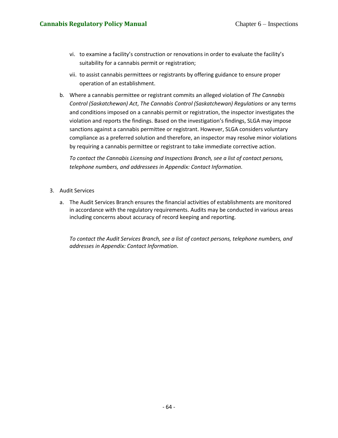- vi. to examine a facility's construction or renovations in order to evaluate the facility's suitability for a cannabis permit or registration;
- vii. to assist cannabis permittees or registrants by offering guidance to ensure proper operation of an establishment.
- b. Where a cannabis permittee or registrant commits an alleged violation of *The Cannabis Control (Saskatchewan) Act*, *The Cannabis Control (Saskatchewan) Regulations* or any terms and conditions imposed on a cannabis permit or registration, the inspector investigates the violation and reports the findings. Based on the investigation's findings, SLGA may impose sanctions against a cannabis permittee or registrant. However, SLGA considers voluntary compliance as a preferred solution and therefore, an inspector may resolve minor violations by requiring a cannabis permittee or registrant to take immediate corrective action.

*To contact the Cannabis Licensing and Inspections Branch, see a list of contact persons, telephone numbers, and addressees in Appendix: Contact Information*.

- 3. Audit Services
	- a. The Audit Services Branch ensures the financial activities of establishments are monitored in accordance with the regulatory requirements. Audits may be conducted in various areas including concerns about accuracy of record keeping and reporting.

*To contact the Audit Services Branch, see a list of contact persons, telephone numbers, and addresses in Appendix: Contact Information*.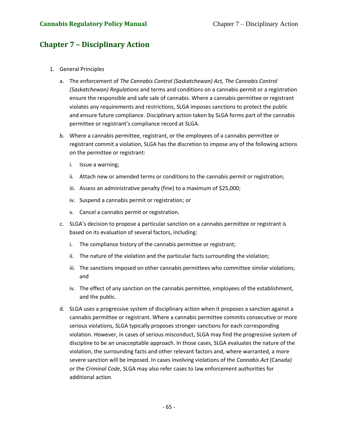# **Chapter 7 – Disciplinary Action**

- 1. General Principles
	- a. The enforcement of *The Cannabis Control (Saskatchewan) Act, The Cannabis Control (Saskatchewan) Regulations* and terms and conditions on a cannabis permit or a registration ensure the responsible and safe sale of cannabis. Where a cannabis permittee or registrant violates any requirements and restrictions, SLGA imposes sanctions to protect the public and ensure future compliance. Disciplinary action taken by SLGA forms part of the cannabis permittee or registrant's compliance record at SLGA.
	- b. Where a cannabis permittee, registrant, or the employees of a cannabis permittee or registrant commit a violation, SLGA has the discretion to impose any of the following actions on the permittee or registrant:
		- i. Issue a warning;
		- ii. Attach new or amended terms or conditions to the cannabis permit or registration;
		- iii. Assess an administrative penalty (fine) to a maximum of \$25,000;
		- iv. Suspend a cannabis permit or registration; or
		- v. Cancel a cannabis permit or registration.
	- c. SLGA's decision to propose a particular sanction on a cannabis permittee or registrant is based on its evaluation of several factors, including:
		- i. The compliance history of the cannabis permittee or registrant;
		- ii. The nature of the violation and the particular facts surrounding the violation;
		- iii. The sanctions imposed on other cannabis permittees who committee similar violations; and
		- iv. The effect of any sanction on the cannabis permittee, employees of the establishment, and the public.
	- d. SLGA uses a progressive system of disciplinary action when it proposes a sanction against a cannabis permittee or registrant. Where a cannabis permittee commits consecutive or more serious violations, SLGA typically proposes stronger sanctions for each corresponding violation. However, in cases of serious misconduct, SLGA may find the progressive system of discipline to be an unacceptable approach. In those cases, SLGA evaluates the nature of the violation, the surrounding facts and other relevant factors and, where warranted, a more severe sanction will be imposed. In cases involving violations of the *Cannabis Act* (Canada) or the *Criminal Code*, SLGA may also refer cases to law enforcement authorities for additional action.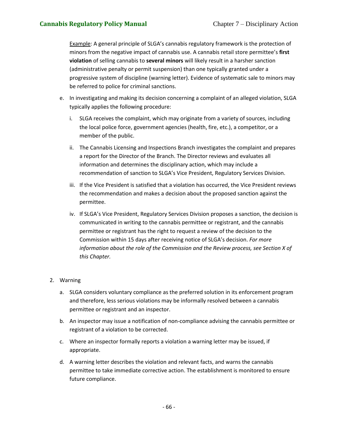Example: A general principle of SLGA's cannabis regulatory framework is the protection of minors from the negative impact of cannabis use. A cannabis retail store permittee's **first violation** of selling cannabis to **several minors** will likely result in a harsher sanction (administrative penalty or permit suspension) than one typically granted under a progressive system of discipline (warning letter). Evidence of systematic sale to minors may be referred to police for criminal sanctions.

- e. In investigating and making its decision concerning a complaint of an alleged violation, SLGA typically applies the following procedure:
	- i. SLGA receives the complaint, which may originate from a variety of sources, including the local police force, government agencies (health, fire, etc.), a competitor, or a member of the public.
	- ii. The Cannabis Licensing and Inspections Branch investigates the complaint and prepares a report for the Director of the Branch. The Director reviews and evaluates all information and determines the disciplinary action, which may include a recommendation of sanction to SLGA's Vice President, Regulatory Services Division.
	- iii. If the Vice President is satisfied that a violation has occurred, the Vice President reviews the recommendation and makes a decision about the proposed sanction against the permittee.
	- iv. If SLGA's Vice President, Regulatory Services Division proposes a sanction, the decision is communicated in writing to the cannabis permittee or registrant, and the cannabis permittee or registrant has the right to request a review of the decision to the Commission within 15 days after receiving notice of SLGA's decision. *For more information about the role of the Commission and the Review process, see Section X of this Chapter.*

## 2. Warning

- a. SLGA considers voluntary compliance as the preferred solution in its enforcement program and therefore, less serious violations may be informally resolved between a cannabis permittee or registrant and an inspector.
- b. An inspector may issue a notification of non-compliance advising the cannabis permittee or registrant of a violation to be corrected.
- c. Where an inspector formally reports a violation a warning letter may be issued, if appropriate.
- d. A warning letter describes the violation and relevant facts, and warns the cannabis permittee to take immediate corrective action. The establishment is monitored to ensure future compliance.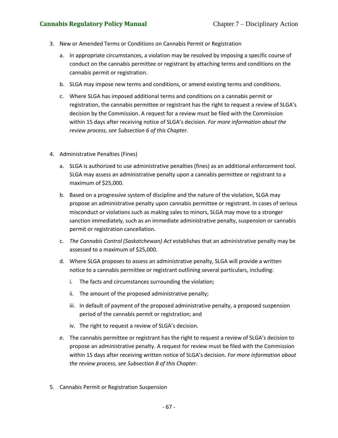## **Cannabis Regulatory Policy Manual** Chapter 7 – Disciplinary Action

- 3. New or Amended Terms or Conditions on Cannabis Permit or Registration
	- a. In appropriate circumstances, a violation may be resolved by imposing a specific course of conduct on the cannabis permittee or registrant by attaching terms and conditions on the cannabis permit or registration.
	- b. SLGA may impose new terms and conditions, or amend existing terms and conditions.
	- c. Where SLGA has imposed additional terms and conditions on a cannabis permit or registration, the cannabis permittee or registrant has the right to request a review of SLGA's decision by the Commission. A request for a review must be filed with the Commission within 15 days after receiving notice of SLGA's decision. *For more information about the review process, see Subsection 6 of this Chapter.*
- 4. Administrative Penalties (Fines)
	- a. SLGA is authorized to use administrative penalties (fines) as an additional enforcement tool. SLGA may assess an administrative penalty upon a cannabis permittee or registrant to a maximum of \$25,000.
	- b. Based on a progressive system of discipline and the nature of the violation, SLGA may propose an administrative penalty upon cannabis permittee or registrant. In cases of serious misconduct or violations such as making sales to minors, SLGA may move to a stronger sanction immediately, such as an immediate administrative penalty, suspension or cannabis permit or registration cancellation.
	- c. *The Cannabis Control (Saskatchewan) Act* establishes that an administrative penalty may be assessed to a maximum of \$25,000.
	- d. Where SLGA proposes to assess an administrative penalty, SLGA will provide a written notice to a cannabis permittee or registrant outlining several particulars, including:
		- i. The facts and circumstances surrounding the violation;
		- ii. The amount of the proposed administrative penalty;
		- iii. In default of payment of the proposed administrative penalty, a proposed suspension period of the cannabis permit or registration; and
		- iv. The right to request a review of SLGA's decision.
	- e. The cannabis permittee or registrant has the right to request a review of SLGA's decision to propose an administrative penalty. A request for review must be filed with the Commission within 15 days after receiving written notice of SLGA's decision. *For more information about the review process, see Subsection 8 of this Chapter*.
- 5. Cannabis Permit or Registration Suspension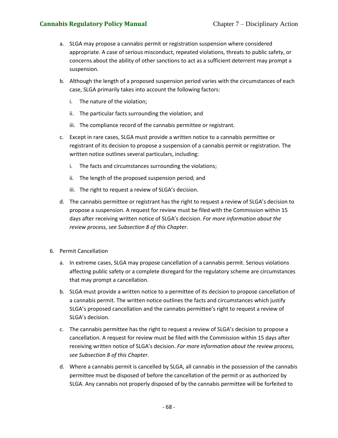## **Cannabis Regulatory Policy Manual** Chapter 7 – Disciplinary Action

- a. SLGA may propose a cannabis permit or registration suspension where considered appropriate. A case of serious misconduct, repeated violations, threats to public safety, or concerns about the ability of other sanctions to act as a sufficient deterrent may prompt a suspension.
- b. Although the length of a proposed suspension period varies with the circumstances of each case, SLGA primarily takes into account the following factors:
	- i. The nature of the violation;
	- ii. The particular facts surrounding the violation; and
	- iii. The compliance record of the cannabis permittee or registrant.
- c. Except in rare cases, SLGA must provide a written notice to a cannabis permittee or registrant of its decision to propose a suspension of a cannabis permit or registration. The written notice outlines several particulars, including:
	- i. The facts and circumstances surrounding the violations;
	- ii. The length of the proposed suspension period; and
	- iii. The right to request a review of SLGA's decision.
- d. The cannabis permittee or registrant has the right to request a review of SLGA's decision to propose a suspension. A request for review must be filed with the Commission within 15 days after receiving written notice of SLGA's decision. *For more information about the review process, see Subsection 8 of this Chapter.*
- 6. Permit Cancellation
	- a. In extreme cases, SLGA may propose cancellation of a cannabis permit. Serious violations affecting public safety or a complete disregard for the regulatory scheme are circumstances that may prompt a cancellation.
	- b. SLGA must provide a written notice to a permittee of its decision to propose cancellation of a cannabis permit. The written notice outlines the facts and circumstances which justify SLGA's proposed cancellation and the cannabis permittee's right to request a review of SLGA's decision.
	- c. The cannabis permittee has the right to request a review of SLGA's decision to propose a cancellation. A request for review must be filed with the Commission within 15 days after receiving written notice of SLGA's decision. *For more information about the review process, see Subsection 8 of this Chapter.*
	- d. Where a cannabis permit is cancelled by SLGA, all cannabis in the possession of the cannabis permittee must be disposed of before the cancellation of the permit or as authorized by SLGA. Any cannabis not properly disposed of by the cannabis permittee will be forfeited to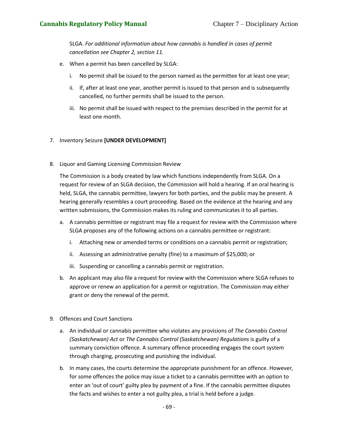SLGA. *For additional information about how cannabis is handled in cases of permit cancellation see Chapter 2, section 11.*

- e. When a permit has been cancelled by SLGA:
	- i. No permit shall be issued to the person named as the permittee for at least one year;
	- ii. If, after at least one year, another permit is issued to that person and is subsequently cancelled, no further permits shall be issued to the person.
	- iii. No permit shall be issued with respect to the premises described in the permit for at least one month.

## 7. Inventory Seizure **[UNDER DEVELOPMENT]**

8. Liquor and Gaming Licensing Commission Review

The Commission is a body created by law which functions independently from SLGA. On a request for review of an SLGA decision, the Commission will hold a hearing. If an oral hearing is held, SLGA, the cannabis permittee, lawyers for both parties, and the public may be present. A hearing generally resembles a court proceeding. Based on the evidence at the hearing and any written submissions, the Commission makes its ruling and communicates it to all parties.

- a. A cannabis permittee or registrant may file a request for review with the Commission where SLGA proposes any of the following actions on a cannabis permittee or registrant:
	- i. Attaching new or amended terms or conditions on a cannabis permit or registration;
	- ii. Assessing an administrative penalty (fine) to a maximum of \$25,000; or
	- iii. Suspending or cancelling a cannabis permit or registration.
- b. An applicant may also file a request for review with the Commission where SLGA refuses to approve or renew an application for a permit or registration. The Commission may either grant or deny the renewal of the permit.
- 9. Offences and Court Sanctions
	- a. An individual or cannabis permittee who violates any provisions of *The Cannabis Control (Saskatchewan) Act* or *The Cannabis Control (Saskatchewan) Regulations* is guilty of a summary conviction offence. A summary offence proceeding engages the court system through charging, prosecuting and punishing the individual.
	- b. In many cases, the courts determine the appropriate punishment for an offence. However, for some offences the police may issue a ticket to a cannabis permittee with an option to enter an 'out of court' guilty plea by payment of a fine. If the cannabis permittee disputes the facts and wishes to enter a not guilty plea, a trial is held before a judge.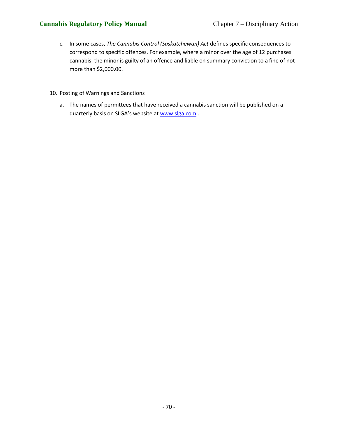- c. In some cases, *The Cannabis Control (Saskatchewan) Act* defines specific consequences to correspond to specific offences. For example, where a minor over the age of 12 purchases cannabis, the minor is guilty of an offence and liable on summary conviction to a fine of not more than \$2,000.00.
- 10. Posting of Warnings and Sanctions
	- a. The names of permittees that have received a cannabis sanction will be published on a quarterly basis on SLGA's website at [www.slga.com](http://www.slga.com/).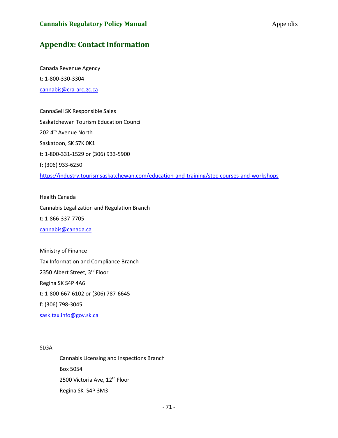# **Appendix: Contact Information**

Canada Revenue Agency t: 1-800-330-3304 [cannabis@cra-arc.gc.ca](mailto:cannabis@cra-arc.gc.ca)

CannaSell SK Responsible Sales Saskatchewan Tourism Education Council 202 4<sup>th</sup> Avenue North Saskatoon, SK S7K 0K1 t: 1-800-331-1529 or (306) 933-5900 f: (306) 933-6250 <https://industry.tourismsaskatchewan.com/education-and-training/stec-courses-and-workshops>

Health Canada Cannabis Legalization and Regulation Branch t: 1-866-337-7705 [cannabis@canada.ca](mailto:cannabis@canada.ca)

Ministry of Finance Tax Information and Compliance Branch 2350 Albert Street, 3rd Floor Regina SK S4P 4A6 t: 1-800-667-6102 or (306) 787-6645 f: (306) 798-3045 [sask.tax.info@gov.sk.ca](mailto:sask.tax.info@gov.sk.ca)

SLGA

Cannabis Licensing and Inspections Branch Box 5054 2500 Victoria Ave, 12<sup>th</sup> Floor Regina SK S4P 3M3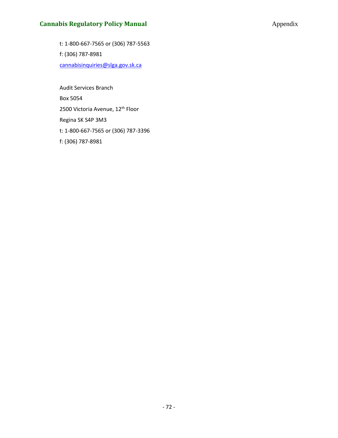### **Cannabis Regulatory Policy Manual Appendix Appendix** Appendix

t: 1-800-667-7565 or (306) 787-5563 f: (306) 787-8981 [cannabisinquiries@slga.gov.sk.ca](mailto:cannabisbranch@slga.gov.sk.ca)

Audit Services Branch Box 5054 2500 Victoria Avenue, 12<sup>th</sup> Floor Regina SK S4P 3M3 t: 1-800-667-7565 or (306) 787-3396 f: (306) 787-8981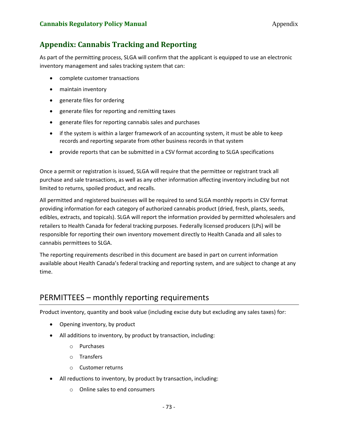# **Appendix: Cannabis Tracking and Reporting**

As part of the permitting process, SLGA will confirm that the applicant is equipped to use an electronic inventory management and sales tracking system that can:

- complete customer transactions
- maintain inventory
- generate files for ordering
- generate files for reporting and remitting taxes
- generate files for reporting cannabis sales and purchases
- if the system is within a larger framework of an accounting system, it must be able to keep records and reporting separate from other business records in that system
- provide reports that can be submitted in a CSV format according to SLGA specifications

Once a permit or registration is issued, SLGA will require that the permittee or registrant track all purchase and sale transactions, as well as any other information affecting inventory including but not limited to returns, spoiled product, and recalls.

All permitted and registered businesses will be required to send SLGA monthly reports in CSV format providing information for each category of authorized cannabis product (dried, fresh, plants, seeds, edibles, extracts, and topicals). SLGA will report the information provided by permitted wholesalers and retailers to Health Canada for federal tracking purposes. Federally licensed producers (LPs) will be responsible for reporting their own inventory movement directly to Health Canada and all sales to cannabis permittees to SLGA.

The reporting requirements described in this document are based in part on current information available about Health Canada's federal tracking and reporting system, and are subject to change at any time.

### PERMITTEES – monthly reporting requirements

Product inventory, quantity and book value (including excise duty but excluding any sales taxes) for:

- Opening inventory, by product
- All additions to inventory, by product by transaction, including:
	- o Purchases
	- o Transfers
	- o Customer returns
- All reductions to inventory, by product by transaction, including:
	- o Online sales to end consumers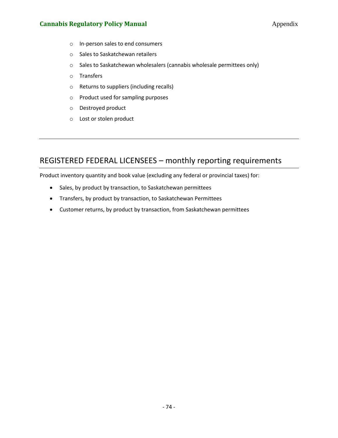#### **Cannabis Regulatory Policy Manual Appendix Appendix** Appendix

- o In-person sales to end consumers
- o Sales to Saskatchewan retailers
- o Sales to Saskatchewan wholesalers (cannabis wholesale permittees only)
- o Transfers
- o Returns to suppliers (including recalls)
- o Product used for sampling purposes
- o Destroyed product
- o Lost or stolen product

### REGISTERED FEDERAL LICENSEES – monthly reporting requirements

Product inventory quantity and book value (excluding any federal or provincial taxes) for:

- Sales, by product by transaction, to Saskatchewan permittees
- Transfers, by product by transaction, to Saskatchewan Permittees
- Customer returns, by product by transaction, from Saskatchewan permittees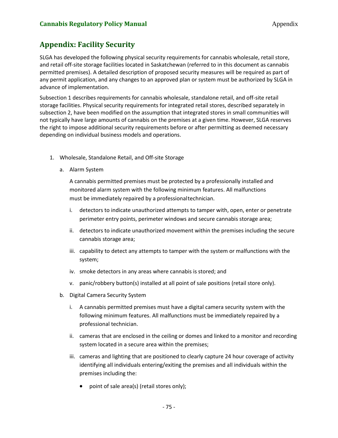# **Appendix: Facility Security**

SLGA has developed the following physical security requirements for cannabis wholesale, retail store, and retail off-site storage facilities located in Saskatchewan (referred to in this document as cannabis permitted premises). A detailed description of proposed security measures will be required as part of any permit application, and any changes to an approved plan or system must be authorized by SLGA in advance of implementation.

Subsection 1 describes requirements for cannabis wholesale, standalone retail, and off-site retail storage facilities. Physical security requirements for integrated retail stores, described separately in subsection 2, have been modified on the assumption that integrated stores in small communities will not typically have large amounts of cannabis on the premises at a given time. However, SLGA reserves the right to impose additional security requirements before or after permitting as deemed necessary depending on individual business models and operations.

- 1. Wholesale, Standalone Retail, and Off-site Storage
	- a. Alarm System

A cannabis permitted premises must be protected by a professionally installed and monitored alarm system with the following minimum features. All malfunctions must be immediately repaired by a professionaltechnician.

- i. detectors to indicate unauthorized attempts to tamper with, open, enter or penetrate perimeter entry points, perimeter windows and secure cannabis storage area;
- ii. detectors to indicate unauthorized movement within the premises including the secure cannabis storage area;
- iii. capability to detect any attempts to tamper with the system or malfunctions with the system;
- iv. smoke detectors in any areas where cannabis is stored; and
- v. panic/robbery button(s) installed at all point of sale positions (retail store only).
- b. Digital Camera Security System
	- i. A cannabis permitted premises must have a digital camera security system with the following minimum features. All malfunctions must be immediately repaired by a professional technician.
	- ii. cameras that are enclosed in the ceiling or domes and linked to a monitor and recording system located in a secure area within the premises;
	- iii. cameras and lighting that are positioned to clearly capture 24 hour coverage of activity identifying all individuals entering/exiting the premises and all individuals within the premises including the:
		- point of sale area(s) (retail stores only);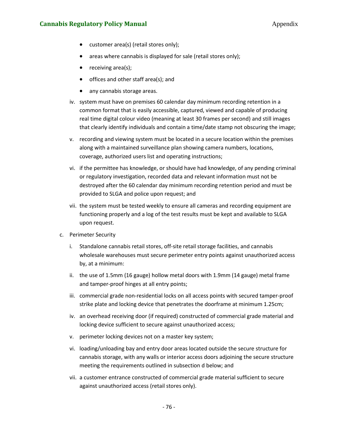#### **Cannabis Regulatory Policy Manual Appendix Appendix**

- customer area(s) (retail stores only);
- areas where cannabis is displayed for sale (retail stores only);
- receiving area(s);
- offices and other staff area(s); and
- any cannabis storage areas.
- iv. system must have on premises 60 calendar day minimum recording retention in a common format that is easily accessible, captured, viewed and capable of producing real time digital colour video (meaning at least 30 frames per second) and still images that clearly identify individuals and contain a time/date stamp not obscuring the image;
- v. recording and viewing system must be located in a secure location within the premises along with a maintained surveillance plan showing camera numbers, locations, coverage, authorized users list and operating instructions;
- vi. if the permittee has knowledge, or should have had knowledge, of any pending criminal or regulatory investigation, recorded data and relevant information must not be destroyed after the 60 calendar day minimum recording retention period and must be provided to SLGA and police upon request; and
- vii. the system must be tested weekly to ensure all cameras and recording equipment are functioning properly and a log of the test results must be kept and available to SLGA upon request.
- c. Perimeter Security
	- i. Standalone cannabis retail stores, off-site retail storage facilities, and cannabis wholesale warehouses must secure perimeter entry points against unauthorized access by, at a minimum:
	- ii. the use of 1.5mm (16 gauge) hollow metal doors with 1.9mm (14 gauge) metal frame and tamper‐proof hinges at all entry points;
	- iii. commercial grade non-residential locks on all access points with secured tamper-proof strike plate and locking device that penetrates the doorframe at minimum 1.25cm;
	- iv. an overhead receiving door (if required) constructed of commercial grade material and locking device sufficient to secure against unauthorized access;
	- v. perimeter locking devices not on a master key system;
	- vi. loading/unloading bay and entry door areas located outside the secure structure for cannabis storage, with any walls or interior access doors adjoining the secure structure meeting the requirements outlined in subsection d below; and
	- vii. a customer entrance constructed of commercial grade material sufficient to secure against unauthorized access (retail stores only).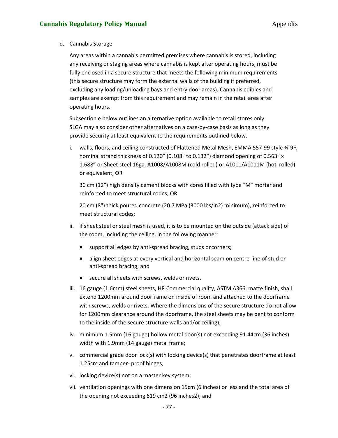d. Cannabis Storage

Any areas within a cannabis permitted premises where cannabis is stored, including any receiving or staging areas where cannabis is kept after operating hours, must be fully enclosed in a secure structure that meets the following minimum requirements (this secure structure may form the external walls of the building if preferred, excluding any loading/unloading bays and entry door areas). Cannabis edibles and samples are exempt from this requirement and may remain in the retail area after operating hours.

Subsection e below outlines an alternative option available to retail stores only. SLGA may also consider other alternatives on a case-by-case basis as long as they provide security at least equivalent to the requirements outlined below.

i. walls, floors, and ceiling constructed of Flattened Metal Mesh, EMMA 557‐99 style ¾‐9F, nominal strand thickness of 0.120" (0.108" to 0.132") diamond opening of 0.563" x 1.688" or Sheet steel 16ga, A1008/A1008M (cold rolled) or A1011/A1011M (hot rolled) or equivalent, OR

30 cm (12") high density cement blocks with cores filled with type "M" mortar and reinforced to meet structural codes, OR

20 cm (8") thick poured concrete (20.7 MPa (3000 lbs/in2) minimum), reinforced to meet structural codes;

- ii. if sheet steel or steel mesh is used, it is to be mounted on the outside (attack side) of the room, including the ceiling, in the following manner:
	- support all edges by anti‐spread bracing, studs orcorners;
	- align sheet edges at every vertical and horizontal seam on centre‐line of stud or anti‐spread bracing; and
	- secure all sheets with screws, welds or rivets.
- iii. 16 gauge (1.6mm) steel sheets, HR Commercial quality, ASTM A366, matte finish, shall extend 1200mm around doorframe on inside of room and attached to the doorframe with screws, welds or rivets. Where the dimensions of the secure structure do not allow for 1200mm clearance around the doorframe, the steel sheets may be bent to conform to the inside of the secure structure walls and/or ceiling);
- iv. minimum 1.5mm (16 gauge) hollow metal door(s) not exceeding 91.44cm (36 inches) width with 1.9mm (14 gauge) metal frame;
- v. commercial grade door lock(s) with locking device(s) that penetrates doorframe at least 1.25cm and tamper‐ proof hinges;
- vi. locking device(s) not on a master key system;
- vii. ventilation openings with one dimension 15cm (6 inches) or less and the total area of the opening not exceeding 619 cm2 (96 inches2); and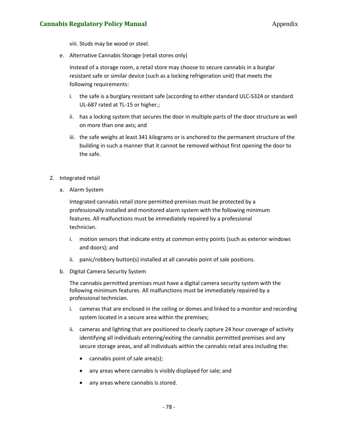#### **Cannabis Regulatory Policy Manual Appendix Appendix**

viii. Studs may be wood or steel.

e. Alternative Cannabis Storage (retail stores only)

Instead of a storage room, a retail store may choose to secure cannabis in a burglar resistant safe or similar device (such as a locking refrigeration unit) that meets the following requirements:

- i. the safe is a burglary resistant safe (according to either standard ULC-S324 or standard UL-687 rated at TL-15 or higher.;
- ii. has a locking system that secures the door in multiple parts of the door structure as well on more than one axis; and
- iii. the safe weighs at least 341 kilograms or is anchored to the permanent structure of the building in such a manner that it cannot be removed without first opening the door to the safe.
- 2. Integrated retail
	- a. Alarm System

Integrated cannabis retail store permitted premises must be protected by a professionally installed and monitored alarm system with the following minimum features. All malfunctions must be immediately repaired by a professional technician.

- i. motion sensors that indicate entry at common entry points (such as exterior windows and doors); and
- ii. panic/robbery button(s) installed at all cannabis point of sale positions.
- b. Digital Camera Security System

The cannabis permitted premises must have a digital camera security system with the following minimum features. All malfunctions must be immediately repaired by a professional technician.

- i. cameras that are enclosed in the ceiling or domes and linked to a monitor and recording system located in a secure area within the premises;
- ii. cameras and lighting that are positioned to clearly capture 24 hour coverage of activity identifying all individuals entering/exiting the cannabis permitted premises and any secure storage areas, and all individuals within the cannabis retail area including the:
	- cannabis point of sale area(s);
	- any areas where cannabis is visibly displayed for sale; and
	- any areas where cannabis is stored.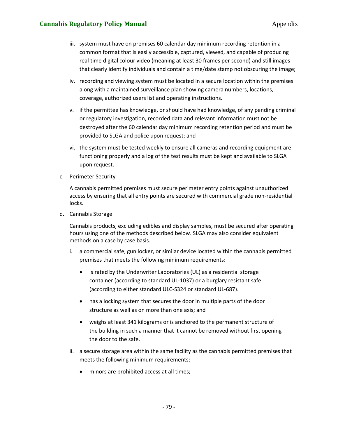- iii. system must have on premises 60 calendar day minimum recording retention in a common format that is easily accessible, captured, viewed, and capable of producing real time digital colour video (meaning at least 30 frames per second) and still images that clearly identify individuals and contain a time/date stamp not obscuring the image;
- iv. recording and viewing system must be located in a secure location within the premises along with a maintained surveillance plan showing camera numbers, locations, coverage, authorized users list and operating instructions.
- v. if the permittee has knowledge, or should have had knowledge, of any pending criminal or regulatory investigation, recorded data and relevant information must not be destroyed after the 60 calendar day minimum recording retention period and must be provided to SLGA and police upon request; and
- vi. the system must be tested weekly to ensure all cameras and recording equipment are functioning properly and a log of the test results must be kept and available to SLGA upon request.
- c. Perimeter Security

A cannabis permitted premises must secure perimeter entry points against unauthorized access by ensuring that all entry points are secured with commercial grade non-residential locks.

d. Cannabis Storage

Cannabis products, excluding edibles and display samples, must be secured after operating hours using one of the methods described below. SLGA may also consider equivalent methods on a case by case basis.

- i. a commercial safe, gun locker, or similar device located within the cannabis permitted premises that meets the following minimum requirements:
	- is rated by the Underwriter Laboratories (UL) as a residential storage container (according to standard UL-1037) or a burglary resistant safe (according to either standard ULC-S324 or standard UL-687).
	- has a locking system that secures the door in multiple parts of the door structure as well as on more than one axis; and
	- weighs at least 341 kilograms or is anchored to the permanent structure of the building in such a manner that it cannot be removed without first opening the door to the safe.
- ii. a secure storage area within the same facility as the cannabis permitted premises that meets the following minimum requirements:
	- minors are prohibited access at all times;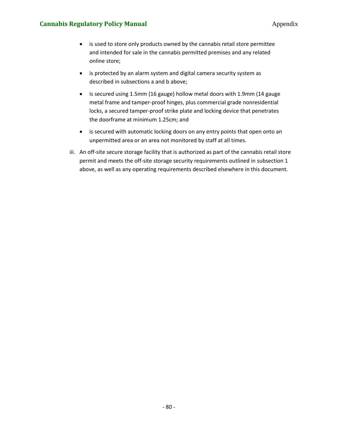#### **Cannabis Regulatory Policy Manual Appendix Appendix** Appendix

- is used to store only products owned by the cannabis retail store permittee and intended for sale in the cannabis permitted premises and any related online store;
- is protected by an alarm system and digital camera security system as described in subsections a and b above;
- is secured using 1.5mm (16 gauge) hollow metal doors with 1.9mm (14 gauge metal frame and tamper-proof hinges, plus commercial grade nonresidential locks, a secured tamper-proof strike plate and locking device that penetrates the doorframe at minimum 1.25cm; and
- is secured with automatic locking doors on any entry points that open onto an unpermitted area or an area not monitored by staff at all times.
- iii. An off-site secure storage facility that is authorized as part of the cannabis retail store permit and meets the off-site storage security requirements outlined in subsection 1 above, as well as any operating requirements described elsewhere in this document.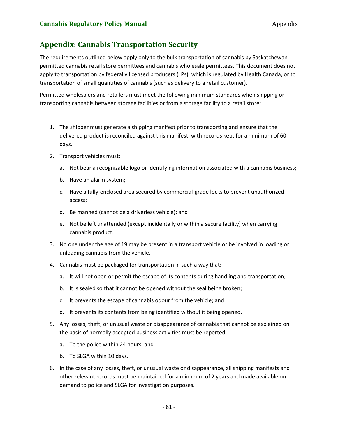## **Appendix: Cannabis Transportation Security**

The requirements outlined below apply only to the bulk transportation of cannabis by Saskatchewanpermitted cannabis retail store permittees and cannabis wholesale permittees. This document does not apply to transportation by federally licensed producers (LPs), which is regulated by Health Canada, or to transportation of small quantities of cannabis (such as delivery to a retail customer).

Permitted wholesalers and retailers must meet the following minimum standards when shipping or transporting cannabis between storage facilities or from a storage facility to a retail store:

- 1. The shipper must generate a shipping manifest prior to transporting and ensure that the delivered product is reconciled against this manifest, with records kept for a minimum of 60 days.
- 2. Transport vehicles must:
	- a. Not bear a recognizable logo or identifying information associated with a cannabis business;
	- b. Have an alarm system;
	- c. Have a fully-enclosed area secured by commercial-grade locks to prevent unauthorized access;
	- d. Be manned (cannot be a driverless vehicle); and
	- e. Not be left unattended (except incidentally or within a secure facility) when carrying cannabis product.
- 3. No one under the age of 19 may be present in a transport vehicle or be involved in loading or unloading cannabis from the vehicle.
- 4. Cannabis must be packaged for transportation in such a way that:
	- a. It will not open or permit the escape of its contents during handling and transportation;
	- b. It is sealed so that it cannot be opened without the seal being broken;
	- c. It prevents the escape of cannabis odour from the vehicle; and
	- d. It prevents its contents from being identified without it being opened.
- 5. Any losses, theft, or unusual waste or disappearance of cannabis that cannot be explained on the basis of normally accepted business activities must be reported:
	- a. To the police within 24 hours; and
	- b. To SLGA within 10 days.
- 6. In the case of any losses, theft, or unusual waste or disappearance, all shipping manifests and other relevant records must be maintained for a minimum of 2 years and made available on demand to police and SLGA for investigation purposes.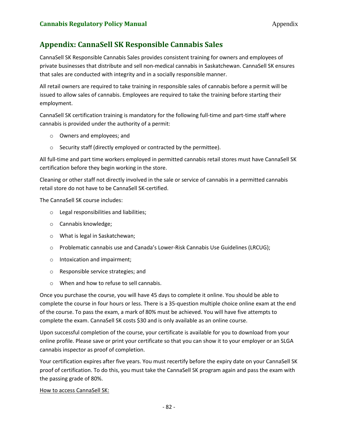### **Appendix: CannaSell SK Responsible Cannabis Sales**

CannaSell SK Responsible Cannabis Sales provides consistent training for owners and employees of private businesses that distribute and sell non-medical cannabis in Saskatchewan. CannaSell SK ensures that sales are conducted with integrity and in a socially responsible manner.

All retail owners are required to take training in responsible sales of cannabis before a permit will be issued to allow sales of cannabis. Employees are required to take the training before starting their employment.

CannaSell SK certification training is mandatory for the following full-time and part-time staff where cannabis is provided under the authority of a permit:

- o Owners and employees; and
- o Security staff (directly employed or contracted by the permittee).

All full-time and part time workers employed in permitted cannabis retail stores must have CannaSell SK certification before they begin working in the store.

Cleaning or other staff not directly involved in the sale or service of cannabis in a permitted cannabis retail store do not have to be CannaSell SK-certified.

The CannaSell SK course includes:

- o Legal responsibilities and liabilities;
- o Cannabis knowledge;
- o What is legal in Saskatchewan;
- o Problematic cannabis use and Canada's Lower-Risk Cannabis Use Guidelines (LRCUG);
- o Intoxication and impairment;
- o Responsible service strategies; and
- o When and how to refuse to sell cannabis.

Once you purchase the course, you will have 45 days to complete it online. You should be able to complete the course in four hours or less. There is a 35-question multiple choice online exam at the end of the course. To pass the exam, a mark of 80% must be achieved. You will have five attempts to complete the exam. CannaSell SK costs \$30 and is only available as an online course.

Upon successful completion of the course, your certificate is available for you to download from your online profile. Please save or print your certificate so that you can show it to your employer or an SLGA cannabis inspector as proof of completion.

Your certification expires after five years. You must recertify before the expiry date on your CannaSell SK proof of certification. To do this, you must take the CannaSell SK program again and pass the exam with the passing grade of 80%.

How to access CannaSell SK: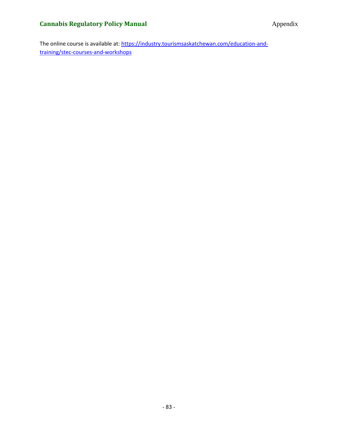The online course is available at[: https://industry.tourismsaskatchewan.com/education-and](https://industry.tourismsaskatchewan.com/education-and-training/stec-courses-and-workshops)[training/stec-courses-and-workshops](https://industry.tourismsaskatchewan.com/education-and-training/stec-courses-and-workshops)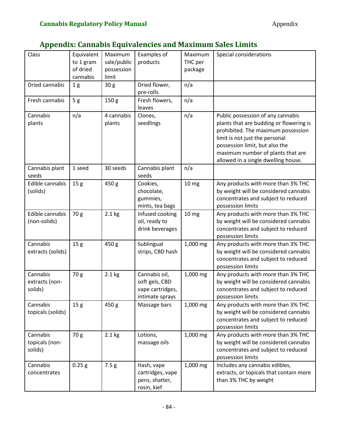# **Appendix: Cannabis Equivalencies and Maximum Sales Limits**

| Class                                 | Equivalent<br>to 1 gram<br>of dried<br>cannabis | Maximum<br>sale/public<br>possession<br>limit | Examples of<br>products                                                | Maximum<br>THC per<br>package | Special considerations                                                                                                                                                                                                                                             |
|---------------------------------------|-------------------------------------------------|-----------------------------------------------|------------------------------------------------------------------------|-------------------------------|--------------------------------------------------------------------------------------------------------------------------------------------------------------------------------------------------------------------------------------------------------------------|
| Dried cannabis                        | 1 <sub>g</sub>                                  | 30 <sub>g</sub>                               | Dried flower,<br>pre-rolls                                             | n/a                           |                                                                                                                                                                                                                                                                    |
| Fresh cannabis                        | 5 <sub>g</sub>                                  | 150 <sub>g</sub>                              | Fresh flowers,<br>leaves                                               | n/a                           |                                                                                                                                                                                                                                                                    |
| Cannabis<br>plants                    | n/a                                             | 4 cannabis<br>plants                          | Clones,<br>seedlings                                                   | n/a                           | Public possession of any cannabis<br>plants that are budding or flowering is<br>prohibited. The maximum possession<br>limit is not just the personal<br>possession limit, but also the<br>maximum number of plants that are<br>allowed in a single dwelling house. |
| Cannabis plant<br>seeds               | 1 seed                                          | 30 seeds                                      | Cannabis plant<br>seeds                                                | n/a                           |                                                                                                                                                                                                                                                                    |
| Edible cannabis<br>(solids)           | 15 <sub>g</sub>                                 | 450 g                                         | Cookies,<br>chocolate,<br>gummies,<br>mints, tea bags                  | 10 mg                         | Any products with more than 3% THC<br>by weight will be considered cannabis<br>concentrates and subject to reduced<br>possession limits                                                                                                                            |
| Edible cannabis<br>(non-solids)       | 70 g                                            | $2.1$ kg                                      | Infused cooking<br>oil, ready to<br>drink beverages                    | 10 <sub>mg</sub>              | Any products with more than 3% THC<br>by weight will be considered cannabis<br>concentrates and subject to reduced<br>possession limits                                                                                                                            |
| Cannabis<br>extracts (solids)         | 15 <sub>g</sub>                                 | 450 g                                         | Sublingual<br>strips, CBD hash                                         | 1,000 mg                      | Any products with more than 3% THC<br>by weight will be considered cannabis<br>concentrates and subject to reduced<br>possession limits                                                                                                                            |
| Cannabis<br>extracts (non-<br>solids) | 70 g                                            | $2.1$ kg                                      | Cannabis oil,<br>soft gels, CBD<br>vape cartridges,<br>intimate sprays | 1,000 mg                      | Any products with more than 3% THC<br>by weight will be considered cannabis<br>concentrates and subject to reduced<br>possession limits                                                                                                                            |
| Cannabis<br>topicals (solids)         | 15 <sub>g</sub>                                 | 450 g                                         | Massage bars                                                           | 1,000 mg                      | Any products with more than 3% THC<br>by weight will be considered cannabis<br>concentrates and subject to reduced<br>possession limits                                                                                                                            |
| Cannabis<br>topicals (non-<br>solids) | 70 g                                            | $2.1$ kg                                      | Lotions,<br>massage oils                                               | 1,000 mg                      | Any products with more than 3% THC<br>by weight will be considered cannabis<br>concentrates and subject to reduced<br>possession limits                                                                                                                            |
| Cannabis<br>concentrates              | 0.25 g                                          | 7.5g                                          | Hash, vape<br>cartridges, vape<br>pens, shatter,<br>rosin, kief        | 1,000 mg                      | Includes any cannabis edibles,<br>extracts, or topicals that contain more<br>than 3% THC by weight                                                                                                                                                                 |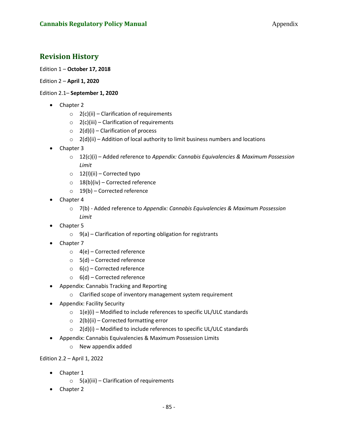### **Revision History**

#### Edition 1 – **October 17, 2018**

#### Edition 2 – **April 1, 2020**

#### Edition 2.1– **September 1, 2020**

- Chapter 2
	- $\circ$  2(c)(ii) Clarification of requirements
	- $\circ$  2(c)(iii) Clarification of requirements
	- $\circ$  2(d)(i) Clarification of process
	- $\circ$  2(d)(ii) Addition of local authority to limit business numbers and locations
- Chapter 3
	- o 12(c)(i) Added reference to *Appendix: Cannabis Equivalencies & Maximum Possession Limit*
	- $\circ$  12(I)(ii) Corrected typo
	- $\circ$  18(b)(iv) Corrected reference
	- $\circ$  19(b) Corrected reference
- Chapter 4
	- o 7(b) Added reference to *Appendix: Cannabis Equivalencies & Maximum Possession Limit*
- Chapter 5
	- $\circ$  9(a) Clarification of reporting obligation for registrants
- Chapter 7
	- o 4(e) Corrected reference
	- o 5(d) Corrected reference
	- $\circ$  6(c) Corrected reference
	- $\circ$  6(d) Corrected reference
- Appendix: Cannabis Tracking and Reporting
	- o Clarified scope of inventory management system requirement
- Appendix: Facility Security
	- $\circ$  1(e)(i) Modified to include references to specific UL/ULC standards
	- $\circ$  2(b)(ii) Corrected formatting error
	- $\circ$  2(d)(i) Modified to include references to specific UL/ULC standards
- Appendix: Cannabis Equivalencies & Maximum Possession Limits
	- o New appendix added

Edition 2.2 – April 1, 2022

- Chapter 1
	- $\circ$  5(a)(iii) Clarification of requirements
- Chapter 2